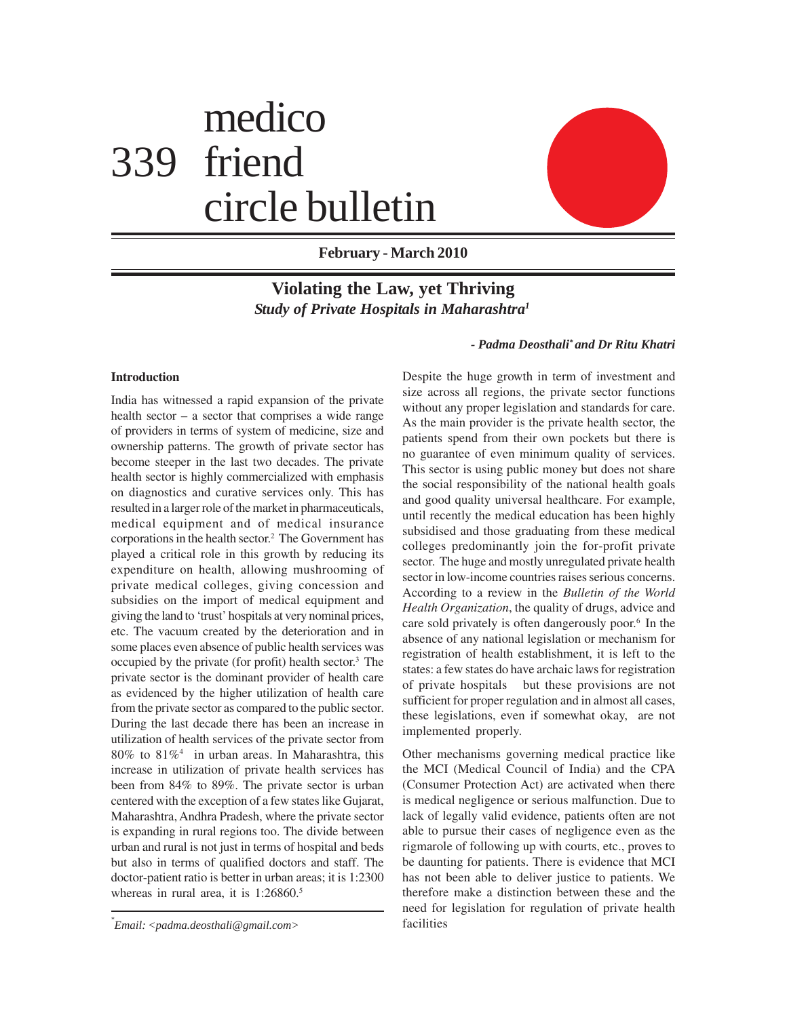# medico 339 friend circle bulletin



**February - March 2010**

# **Violating the Law, yet Thriving** *Study of Private Hospitals in Maharashtra1*

#### *- Padma Deosthali\* and Dr Ritu Khatri*

# **Introduction**

India has witnessed a rapid expansion of the private health sector – a sector that comprises a wide range of providers in terms of system of medicine, size and ownership patterns. The growth of private sector has become steeper in the last two decades. The private health sector is highly commercialized with emphasis on diagnostics and curative services only. This has resulted in a larger role of the market in pharmaceuticals, medical equipment and of medical insurance corporations in the health sector.2 The Government has played a critical role in this growth by reducing its expenditure on health, allowing mushrooming of private medical colleges, giving concession and subsidies on the import of medical equipment and giving the land to 'trust' hospitals at very nominal prices, etc. The vacuum created by the deterioration and in some places even absence of public health services was occupied by the private (for profit) health sector.3 The private sector is the dominant provider of health care as evidenced by the higher utilization of health care from the private sector as compared to the public sector. During the last decade there has been an increase in utilization of health services of the private sector from 80% to 81%<sup>4</sup> in urban areas. In Maharashtra, this increase in utilization of private health services has been from 84% to 89%. The private sector is urban centered with the exception of a few states like Gujarat, Maharashtra, Andhra Pradesh, where the private sector is expanding in rural regions too. The divide between urban and rural is not just in terms of hospital and beds but also in terms of qualified doctors and staff. The doctor-patient ratio is better in urban areas; it is 1:2300 whereas in rural area, it is 1:26860.<sup>5</sup>

Despite the huge growth in term of investment and size across all regions, the private sector functions without any proper legislation and standards for care. As the main provider is the private health sector, the patients spend from their own pockets but there is no guarantee of even minimum quality of services. This sector is using public money but does not share the social responsibility of the national health goals and good quality universal healthcare. For example, until recently the medical education has been highly subsidised and those graduating from these medical colleges predominantly join the for-profit private sector. The huge and mostly unregulated private health sector in low-income countries raises serious concerns. According to a review in the *Bulletin of the World Health Organization*, the quality of drugs, advice and care sold privately is often dangerously poor.<sup>6</sup> In the absence of any national legislation or mechanism for registration of health establishment, it is left to the states: a few states do have archaic laws for registration of private hospitals but these provisions are not sufficient for proper regulation and in almost all cases, these legislations, even if somewhat okay, are not implemented properly.

Other mechanisms governing medical practice like the MCI (Medical Council of India) and the CPA (Consumer Protection Act) are activated when there is medical negligence or serious malfunction. Due to lack of legally valid evidence, patients often are not able to pursue their cases of negligence even as the rigmarole of following up with courts, etc., proves to be daunting for patients. There is evidence that MCI has not been able to deliver justice to patients. We therefore make a distinction between these and the need for legislation for regulation of private health

facilities *\* Email: <padma.deosthali@gmail.com>*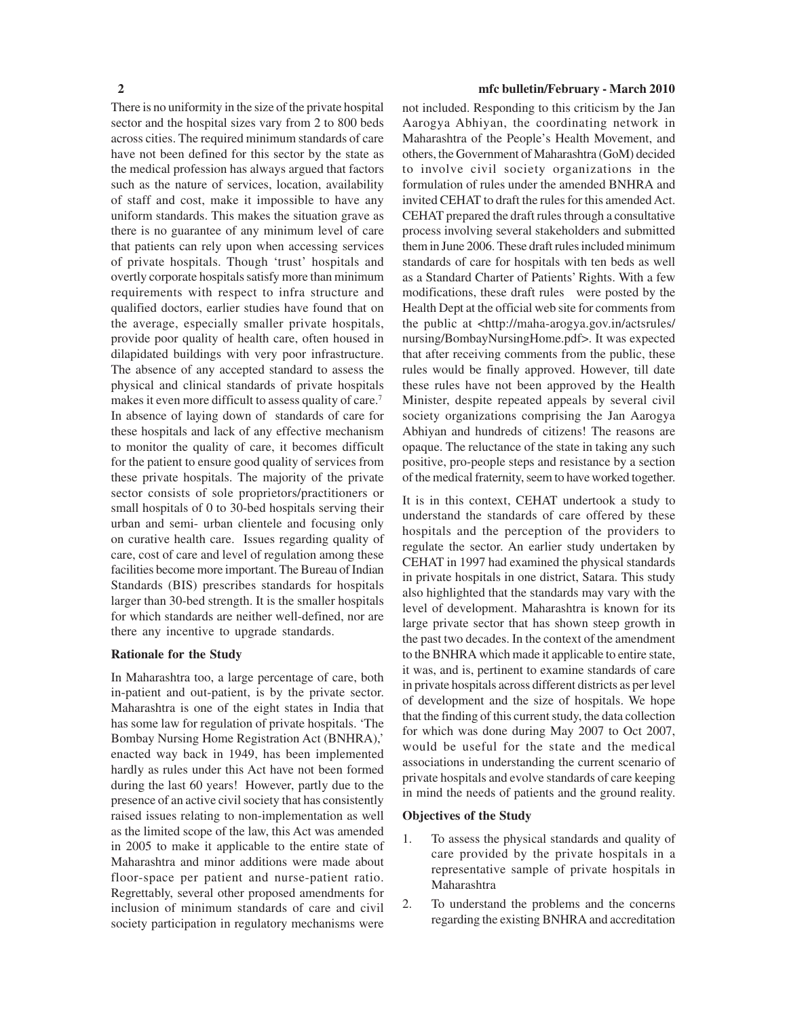There is no uniformity in the size of the private hospital sector and the hospital sizes vary from 2 to 800 beds across cities. The required minimum standards of care have not been defined for this sector by the state as the medical profession has always argued that factors such as the nature of services, location, availability of staff and cost, make it impossible to have any uniform standards. This makes the situation grave as there is no guarantee of any minimum level of care that patients can rely upon when accessing services of private hospitals. Though 'trust' hospitals and overtly corporate hospitals satisfy more than minimum requirements with respect to infra structure and qualified doctors, earlier studies have found that on the average, especially smaller private hospitals, provide poor quality of health care, often housed in dilapidated buildings with very poor infrastructure. The absence of any accepted standard to assess the physical and clinical standards of private hospitals makes it even more difficult to assess quality of care.<sup>7</sup> In absence of laying down of standards of care for these hospitals and lack of any effective mechanism to monitor the quality of care, it becomes difficult for the patient to ensure good quality of services from these private hospitals. The majority of the private sector consists of sole proprietors/practitioners or small hospitals of 0 to 30-bed hospitals serving their urban and semi- urban clientele and focusing only on curative health care. Issues regarding quality of care, cost of care and level of regulation among these facilities become more important. The Bureau of Indian Standards (BIS) prescribes standards for hospitals larger than 30-bed strength. It is the smaller hospitals for which standards are neither well-defined, nor are there any incentive to upgrade standards.

#### **Rationale for the Study**

In Maharashtra too, a large percentage of care, both in-patient and out-patient, is by the private sector. Maharashtra is one of the eight states in India that has some law for regulation of private hospitals. 'The Bombay Nursing Home Registration Act (BNHRA),' enacted way back in 1949, has been implemented hardly as rules under this Act have not been formed during the last 60 years! However, partly due to the presence of an active civil society that has consistently raised issues relating to non-implementation as well as the limited scope of the law, this Act was amended in 2005 to make it applicable to the entire state of Maharashtra and minor additions were made about floor-space per patient and nurse-patient ratio. Regrettably, several other proposed amendments for inclusion of minimum standards of care and civil society participation in regulatory mechanisms were

#### **2 mfc bulletin/February - March 2010**

not included. Responding to this criticism by the Jan Aarogya Abhiyan, the coordinating network in Maharashtra of the People's Health Movement, and others, the Government of Maharashtra (GoM) decided to involve civil society organizations in the formulation of rules under the amended BNHRA and invited CEHAT to draft the rules for this amended Act. CEHAT prepared the draft rules through a consultative process involving several stakeholders and submitted them in June 2006. These draft rules included minimum standards of care for hospitals with ten beds as well as a Standard Charter of Patients' Rights. With a few modifications, these draft rules were posted by the Health Dept at the official web site for comments from the public at <http://maha-arogya.gov.in/actsrules/ nursing/BombayNursingHome.pdf>. It was expected that after receiving comments from the public, these rules would be finally approved. However, till date these rules have not been approved by the Health Minister, despite repeated appeals by several civil society organizations comprising the Jan Aarogya Abhiyan and hundreds of citizens! The reasons are opaque. The reluctance of the state in taking any such positive, pro-people steps and resistance by a section of the medical fraternity, seem to have worked together.

It is in this context, CEHAT undertook a study to understand the standards of care offered by these hospitals and the perception of the providers to regulate the sector. An earlier study undertaken by CEHAT in 1997 had examined the physical standards in private hospitals in one district, Satara. This study also highlighted that the standards may vary with the level of development. Maharashtra is known for its large private sector that has shown steep growth in the past two decades. In the context of the amendment to the BNHRA which made it applicable to entire state, it was, and is, pertinent to examine standards of care in private hospitals across different districts as per level of development and the size of hospitals. We hope that the finding of this current study, the data collection for which was done during May 2007 to Oct 2007, would be useful for the state and the medical associations in understanding the current scenario of private hospitals and evolve standards of care keeping in mind the needs of patients and the ground reality.

#### **Objectives of the Study**

- 1. To assess the physical standards and quality of care provided by the private hospitals in a representative sample of private hospitals in Maharashtra
- 2. To understand the problems and the concerns regarding the existing BNHRA and accreditation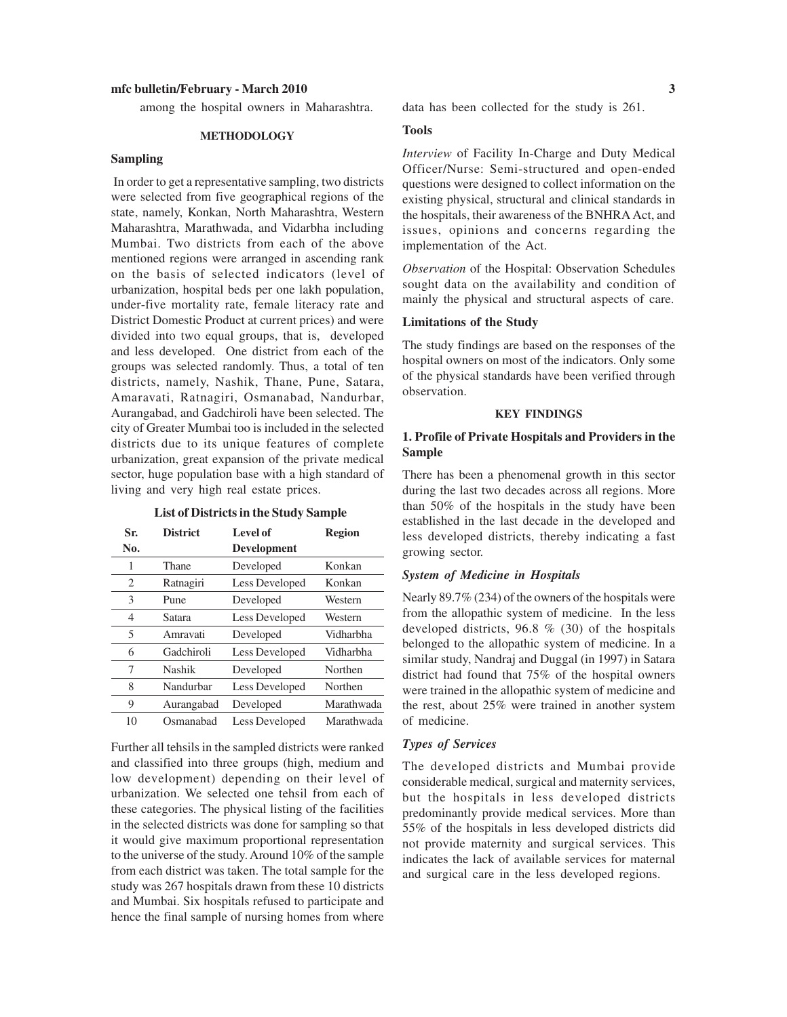among the hospital owners in Maharashtra.

#### **METHODOLOGY**

#### **Sampling**

In order to get a representative sampling, two districts were selected from five geographical regions of the state, namely, Konkan, North Maharashtra, Western Maharashtra, Marathwada, and Vidarbha including Mumbai. Two districts from each of the above mentioned regions were arranged in ascending rank on the basis of selected indicators (level of urbanization, hospital beds per one lakh population, under-five mortality rate, female literacy rate and District Domestic Product at current prices) and were divided into two equal groups, that is, developed and less developed. One district from each of the groups was selected randomly. Thus, a total of ten districts, namely, Nashik, Thane, Pune, Satara, Amaravati, Ratnagiri, Osmanabad, Nandurbar, Aurangabad, and Gadchiroli have been selected. The city of Greater Mumbai too is included in the selected districts due to its unique features of complete urbanization, great expansion of the private medical sector, huge population base with a high standard of living and very high real estate prices.

#### **List of Districts in the Study Sample**

| Sr.<br>No. | <b>District</b> | Level of<br><b>Development</b> | <b>Region</b> |
|------------|-----------------|--------------------------------|---------------|
| 1          | Thane           | Developed                      | Konkan        |
| 2          | Ratnagiri       | Less Developed                 | Konkan        |
| 3          | Pune            | Developed                      | Western       |
| 4          | Satara          | Less Developed                 | Western       |
| 5          | Amravati        | Developed                      | Vidharbha     |
| 6          | Gadchiroli      | Less Developed                 | Vidharbha     |
| 7          | Nashik          | Developed                      | Northen       |
| 8          | Nandurbar       | Less Developed                 | Northen       |
| 9          | Aurangabad      | Developed                      | Marathwada    |
| 10         | Osmanabad       | Less Developed                 | Marathwada    |

Further all tehsils in the sampled districts were ranked and classified into three groups (high, medium and low development) depending on their level of urbanization. We selected one tehsil from each of these categories. The physical listing of the facilities in the selected districts was done for sampling so that it would give maximum proportional representation to the universe of the study. Around 10% of the sample from each district was taken. The total sample for the study was 267 hospitals drawn from these 10 districts and Mumbai. Six hospitals refused to participate and hence the final sample of nursing homes from where data has been collected for the study is 261.

#### **Tools**

*Interview* of Facility In-Charge and Duty Medical Officer/Nurse: Semi-structured and open-ended questions were designed to collect information on the existing physical, structural and clinical standards in the hospitals, their awareness of the BNHRA Act, and issues, opinions and concerns regarding the implementation of the Act.

*Observation* of the Hospital: Observation Schedules sought data on the availability and condition of mainly the physical and structural aspects of care.

#### **Limitations of the Study**

The study findings are based on the responses of the hospital owners on most of the indicators. Only some of the physical standards have been verified through observation.

#### **KEY FINDINGS**

#### **1. Profile of Private Hospitals and Providers in the Sample**

There has been a phenomenal growth in this sector during the last two decades across all regions. More than 50% of the hospitals in the study have been established in the last decade in the developed and less developed districts, thereby indicating a fast growing sector.

#### *System of Medicine in Hospitals*

Nearly 89.7% (234) of the owners of the hospitals were from the allopathic system of medicine. In the less developed districts, 96.8 % (30) of the hospitals belonged to the allopathic system of medicine. In a similar study, Nandraj and Duggal (in 1997) in Satara district had found that 75% of the hospital owners were trained in the allopathic system of medicine and the rest, about 25% were trained in another system of medicine.

#### *Types of Services*

The developed districts and Mumbai provide considerable medical, surgical and maternity services, but the hospitals in less developed districts predominantly provide medical services. More than 55% of the hospitals in less developed districts did not provide maternity and surgical services. This indicates the lack of available services for maternal and surgical care in the less developed regions.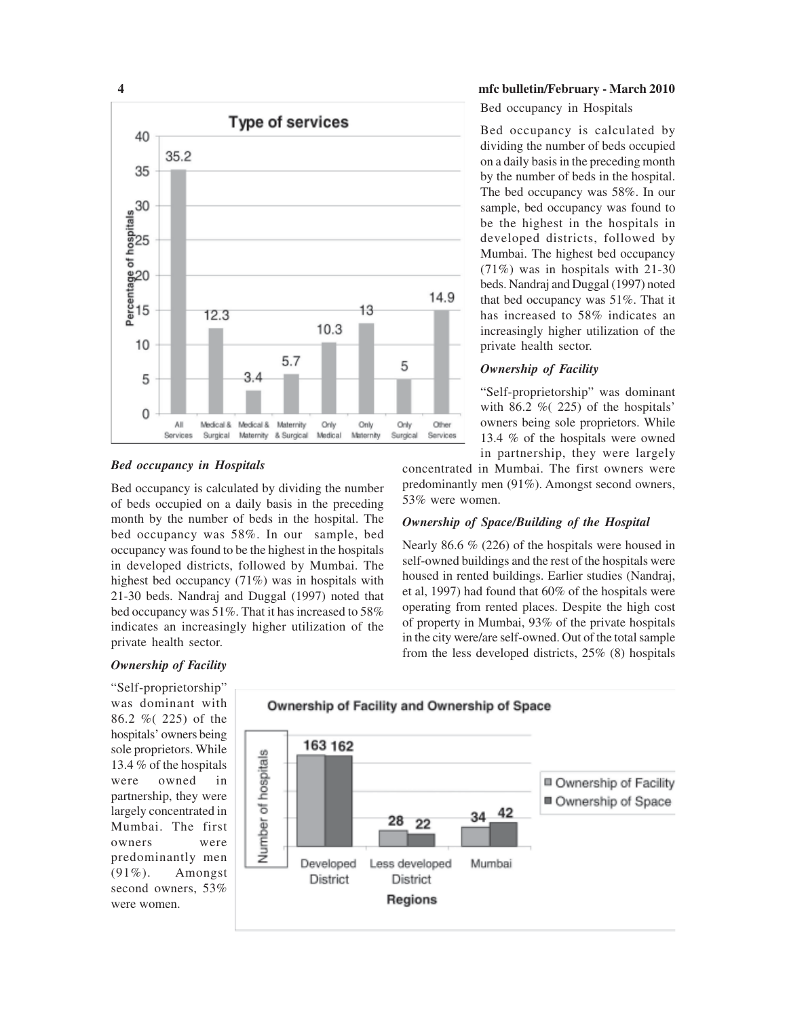

#### *Bed occupancy in Hospitals*

Bed occupancy is calculated by dividing the number of beds occupied on a daily basis in the preceding month by the number of beds in the hospital. The bed occupancy was 58%. In our sample, bed occupancy was found to be the highest in the hospitals in developed districts, followed by Mumbai. The highest bed occupancy (71%) was in hospitals with 21-30 beds. Nandraj and Duggal (1997) noted that bed occupancy was 51%. That it has increased to 58% indicates an increasingly higher utilization of the private health sector.

Bed occupancy in Hospitals

Bed occupancy is calculated by dividing the number of beds occupied on a daily basis in the preceding month by the number of beds in the hospital. The bed occupancy was 58%. In our sample, bed occupancy was found to be the highest in the hospitals in developed districts, followed by Mumbai. The highest bed occupancy (71%) was in hospitals with 21-30 beds. Nandraj and Duggal (1997) noted that bed occupancy was 51%. That it has increased to 58% indicates an increasingly higher utilization of the private health sector.

#### *Ownership of Facility*

"Self-proprietorship" was dominant with  $86.2 \%$  (225) of the hospitals' owners being sole proprietors. While 13.4 % of the hospitals were owned in partnership, they were largely

concentrated in Mumbai. The first owners were predominantly men (91%). Amongst second owners, 53% were women.

#### *Ownership of Space/Building of the Hospital*

Nearly 86.6 % (226) of the hospitals were housed in self-owned buildings and the rest of the hospitals were housed in rented buildings. Earlier studies (Nandraj, et al, 1997) had found that 60% of the hospitals were operating from rented places. Despite the high cost of property in Mumbai, 93% of the private hospitals in the city were/are self-owned. Out of the total sample from the less developed districts, 25% (8) hospitals

### *Ownership of Facility*

"Self-proprietorship" was dominant with 86.2 %( 225) of the hospitals' owners being sole proprietors. While 13.4 % of the hospitals were owned in partnership, they were largely concentrated in Mumbai. The first owners were predominantly men (91%). Amongst second owners, 53% were women.

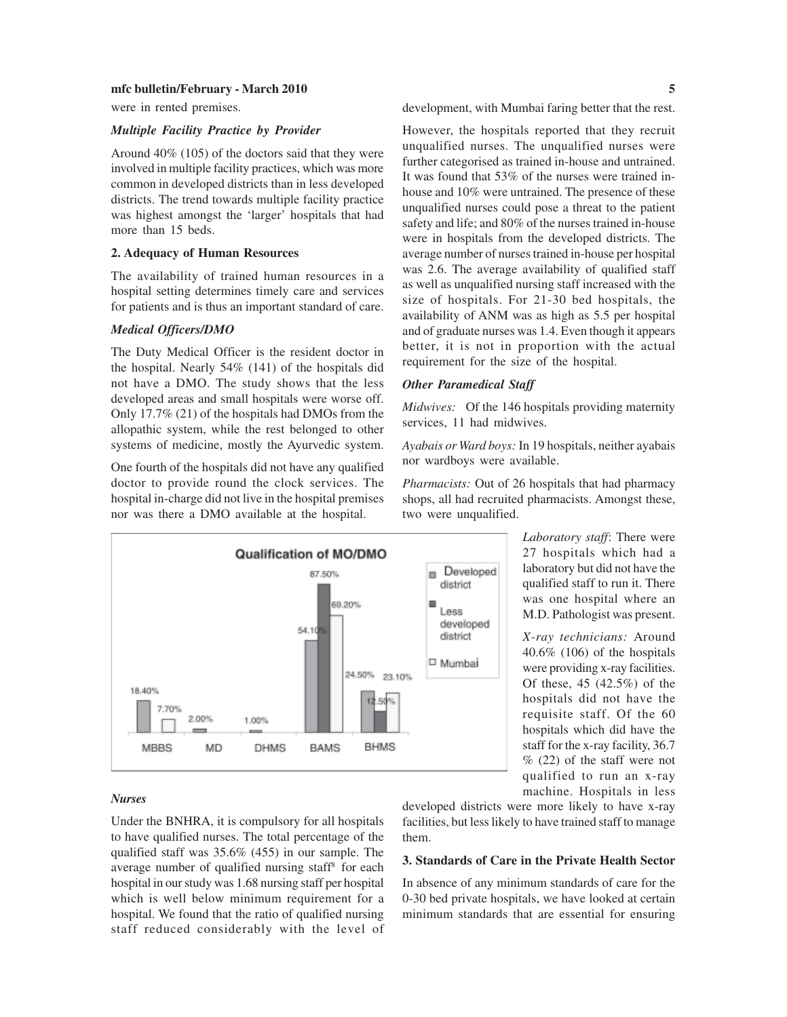were in rented premises.

#### *Multiple Facility Practice by Provider*

Around 40% (105) of the doctors said that they were involved in multiple facility practices, which was more common in developed districts than in less developed districts. The trend towards multiple facility practice was highest amongst the 'larger' hospitals that had more than 15 beds.

#### **2. Adequacy of Human Resources**

The availability of trained human resources in a hospital setting determines timely care and services for patients and is thus an important standard of care.

#### *Medical Officers/DMO*

The Duty Medical Officer is the resident doctor in the hospital. Nearly 54% (141) of the hospitals did not have a DMO. The study shows that the less developed areas and small hospitals were worse off. Only 17.7% (21) of the hospitals had DMOs from the allopathic system, while the rest belonged to other systems of medicine, mostly the Ayurvedic system.

One fourth of the hospitals did not have any qualified doctor to provide round the clock services. The hospital in-charge did not live in the hospital premises nor was there a DMO available at the hospital.



#### development, with Mumbai faring better that the rest.

However, the hospitals reported that they recruit unqualified nurses. The unqualified nurses were further categorised as trained in-house and untrained. It was found that 53% of the nurses were trained inhouse and 10% were untrained. The presence of these unqualified nurses could pose a threat to the patient safety and life; and 80% of the nurses trained in-house were in hospitals from the developed districts. The average number of nurses trained in-house per hospital was 2.6. The average availability of qualified staff as well as unqualified nursing staff increased with the size of hospitals. For 21-30 bed hospitals, the availability of ANM was as high as 5.5 per hospital and of graduate nurses was 1.4. Even though it appears better, it is not in proportion with the actual requirement for the size of the hospital.

#### *Other Paramedical Staff*

*Midwives:*Of the 146 hospitals providing maternity services, 11 had midwives.

*Ayabais or Ward boys:* In 19 hospitals, neither ayabais nor wardboys were available.

*Pharmacists:* Out of 26 hospitals that had pharmacy shops, all had recruited pharmacists. Amongst these, two were unqualified.

> *Laboratory staff*: There were 27 hospitals which had a laboratory but did not have the qualified staff to run it. There was one hospital where an M.D. Pathologist was present.

> *X-ray technicians:* Around 40.6% (106) of the hospitals were providing x-ray facilities. Of these, 45 (42.5%) of the hospitals did not have the requisite staff. Of the 60 hospitals which did have the staff for the x-ray facility, 36.7 % (22) of the staff were not qualified to run an x-ray machine. Hospitals in less

#### *Nurses*

Under the BNHRA, it is compulsory for all hospitals to have qualified nurses. The total percentage of the qualified staff was 35.6% (455) in our sample. The average number of qualified nursing staff<sup>8</sup> for each hospital in our study was 1.68 nursing staff per hospital which is well below minimum requirement for a hospital. We found that the ratio of qualified nursing staff reduced considerably with the level of developed districts were more likely to have x-ray facilities, but less likely to have trained staff to manage them.

#### **3. Standards of Care in the Private Health Sector**

In absence of any minimum standards of care for the 0-30 bed private hospitals, we have looked at certain minimum standards that are essential for ensuring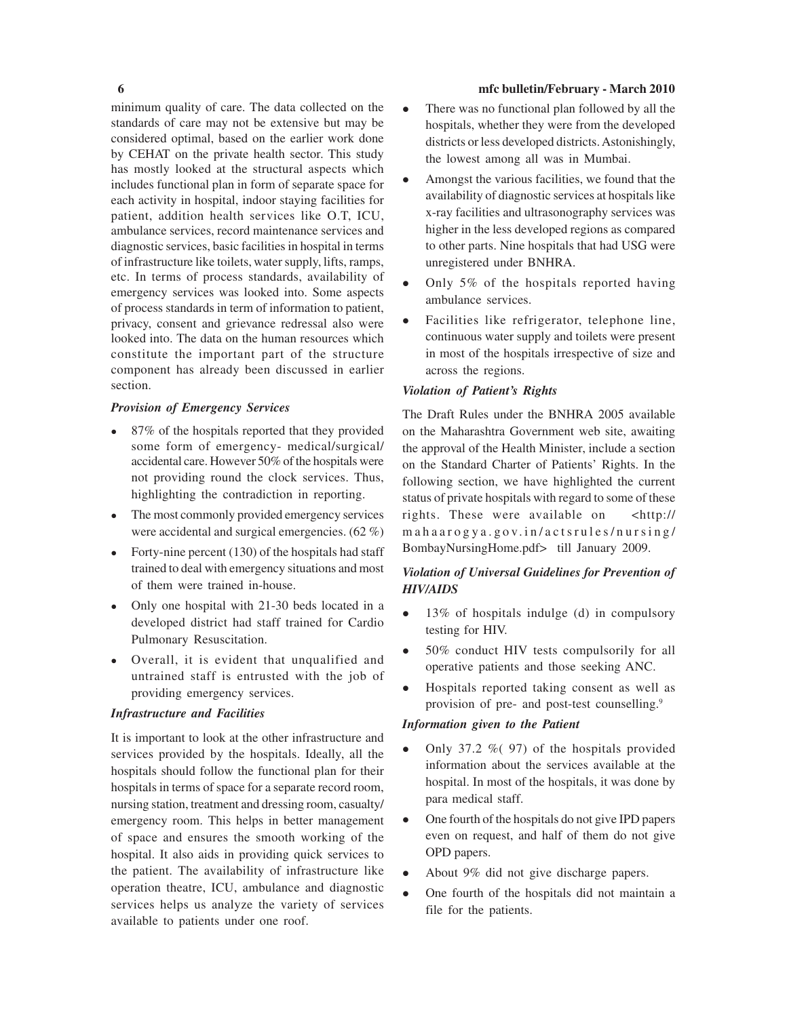minimum quality of care. The data collected on the standards of care may not be extensive but may be considered optimal, based on the earlier work done by CEHAT on the private health sector. This study has mostly looked at the structural aspects which includes functional plan in form of separate space for each activity in hospital, indoor staying facilities for patient, addition health services like O.T, ICU, ambulance services, record maintenance services and diagnostic services, basic facilities in hospital in terms of infrastructure like toilets, water supply, lifts, ramps, etc. In terms of process standards, availability of emergency services was looked into. Some aspects of process standards in term of information to patient, privacy, consent and grievance redressal also were looked into. The data on the human resources which constitute the important part of the structure component has already been discussed in earlier section.

#### *Provision of Emergency Services*

- 87% of the hospitals reported that they provided some form of emergency- medical/surgical/ accidental care. However 50% of the hospitals were not providing round the clock services. Thus, highlighting the contradiction in reporting.
- The most commonly provided emergency services were accidental and surgical emergencies. (62 %)
- Forty-nine percent  $(130)$  of the hospitals had staff trained to deal with emergency situations and most of them were trained in-house.
- Only one hospital with 21-30 beds located in a developed district had staff trained for Cardio Pulmonary Resuscitation.
- Overall, it is evident that unqualified and untrained staff is entrusted with the job of providing emergency services.

#### *Infrastructure and Facilities*

It is important to look at the other infrastructure and services provided by the hospitals. Ideally, all the hospitals should follow the functional plan for their hospitals in terms of space for a separate record room, nursing station, treatment and dressing room, casualty/ emergency room. This helps in better management of space and ensures the smooth working of the hospital. It also aids in providing quick services to the patient. The availability of infrastructure like operation theatre, ICU, ambulance and diagnostic services helps us analyze the variety of services available to patients under one roof.

#### **6 mfc bulletin/February - March 2010**

- There was no functional plan followed by all the hospitals, whether they were from the developed districts or less developed districts. Astonishingly, the lowest among all was in Mumbai.
- Amongst the various facilities, we found that the availability of diagnostic services at hospitals like x-ray facilities and ultrasonography services was higher in the less developed regions as compared to other parts. Nine hospitals that had USG were unregistered under BNHRA.
- $\bullet$  Only 5% of the hospitals reported having ambulance services.
- Facilities like refrigerator, telephone line, continuous water supply and toilets were present in most of the hospitals irrespective of size and across the regions.

### *Violation of Patient's Rights*

The Draft Rules under the BNHRA 2005 available on the Maharashtra Government web site, awaiting the approval of the Health Minister, include a section on the Standard Charter of Patients' Rights. In the following section, we have highlighted the current status of private hospitals with regard to some of these rights. These were available on <http:// mahaarogya.gov.in/actsrules/nursing/ BombayNursingHome.pdf> till January 2009.

### *Violation of Universal Guidelines for Prevention of HIV/AIDS*

- 13% of hospitals indulge (d) in compulsory testing for HIV.
- 50% conduct HIV tests compulsorily for all operative patients and those seeking ANC.
- Hospitals reported taking consent as well as provision of pre- and post-test counselling.9

#### *Information given to the Patient*

- Only 37.2 % (97) of the hospitals provided information about the services available at the hospital. In most of the hospitals, it was done by para medical staff.
- One fourth of the hospitals do not give IPD papers even on request, and half of them do not give OPD papers.
- About 9% did not give discharge papers.
- One fourth of the hospitals did not maintain a file for the patients.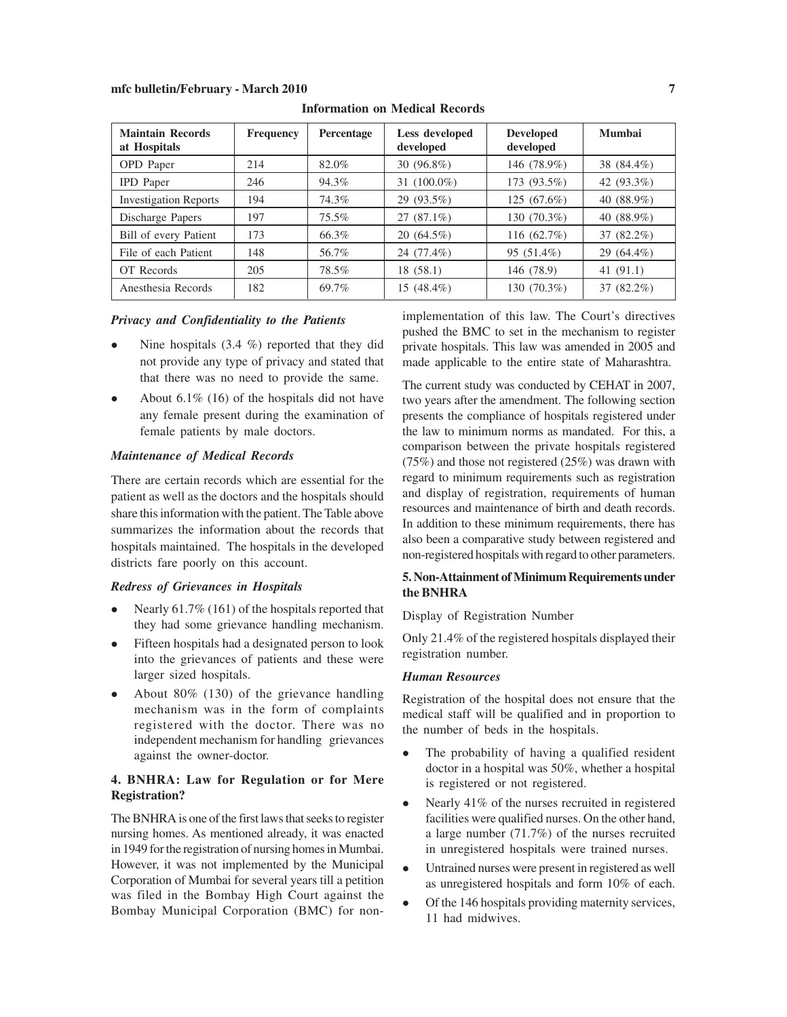| <b>Maintain Records</b><br>at Hospitals | <b>Frequency</b> | <b>Percentage</b> | Less developed<br>developed | <b>Developed</b><br>developed | <b>Mumbai</b> |
|-----------------------------------------|------------------|-------------------|-----------------------------|-------------------------------|---------------|
| <b>OPD</b> Paper                        | 214              | 82.0%             | 30 (96.8%)                  | 146 (78.9%)                   | 38 (84.4%)    |
| <b>IPD</b> Paper                        | 246              | 94.3%             | 31 $(100.0\%)$              | 173 (93.5%)                   | 42 (93.3%)    |
| <b>Investigation Reports</b>            | 194              | 74.3%             | 29 (93.5%)                  | 125 (67.6%)                   | 40 (88.9%)    |
| Discharge Papers                        | 197              | 75.5%             | $27(87.1\%)$                | 130 (70.3%)                   | 40 (88.9%)    |
| Bill of every Patient                   | 173              | 66.3%             | $20(64.5\%)$                | 116 (62.7%)                   | 37 (82.2%)    |
| File of each Patient                    | 148              | 56.7%             | 24 (77.4%)                  | 95 (51.4%)                    | 29 (64.4%)    |
| OT Records                              | 205              | 78.5%             | 18(58.1)                    | 146 (78.9)                    | 41 $(91.1)$   |
| Anesthesia Records                      | 182              | 69.7%             | 15 (48.4%)                  | 130 (70.3%)                   | 37 (82.2%)    |

**Information on Medical Records**

#### *Privacy and Confidentiality to the Patients*

- Nine hospitals  $(3.4 \%)$  reported that they did not provide any type of privacy and stated that that there was no need to provide the same.
- About  $6.1\%$  (16) of the hospitals did not have any female present during the examination of female patients by male doctors.

#### *Maintenance of Medical Records*

There are certain records which are essential for the patient as well as the doctors and the hospitals should share this information with the patient. The Table above summarizes the information about the records that hospitals maintained. The hospitals in the developed districts fare poorly on this account.

#### *Redress of Grievances in Hospitals*

- Nearly  $61.7\%$  (161) of the hospitals reported that they had some grievance handling mechanism.
- Fifteen hospitals had a designated person to look into the grievances of patients and these were larger sized hospitals.
- About  $80\%$  (130) of the grievance handling mechanism was in the form of complaints registered with the doctor. There was no independent mechanism for handling grievances against the owner-doctor.

#### **4. BNHRA: Law for Regulation or for Mere Registration?**

The BNHRA is one of the first laws that seeks to register nursing homes. As mentioned already, it was enacted in 1949 for the registration of nursing homes in Mumbai. However, it was not implemented by the Municipal Corporation of Mumbai for several years till a petition was filed in the Bombay High Court against the Bombay Municipal Corporation (BMC) for nonimplementation of this law. The Court's directives pushed the BMC to set in the mechanism to register private hospitals. This law was amended in 2005 and made applicable to the entire state of Maharashtra.

The current study was conducted by CEHAT in 2007, two years after the amendment. The following section presents the compliance of hospitals registered under the law to minimum norms as mandated. For this, a comparison between the private hospitals registered (75%) and those not registered (25%) was drawn with regard to minimum requirements such as registration and display of registration, requirements of human resources and maintenance of birth and death records. In addition to these minimum requirements, there has also been a comparative study between registered and non-registered hospitals with regard to other parameters.

#### **5. Non-Attainment of Minimum Requirements under the BNHRA**

Display of Registration Number

Only 21.4% of the registered hospitals displayed their registration number.

#### *Human Resources*

Registration of the hospital does not ensure that the medical staff will be qualified and in proportion to the number of beds in the hospitals.

- The probability of having a qualified resident doctor in a hospital was 50%, whether a hospital is registered or not registered.
- Nearly  $41\%$  of the nurses recruited in registered facilities were qualified nurses. On the other hand, a large number (71.7%) of the nurses recruited in unregistered hospitals were trained nurses.
- Untrained nurses were present in registered as well as unregistered hospitals and form 10% of each.
- Of the 146 hospitals providing maternity services, 11 had midwives.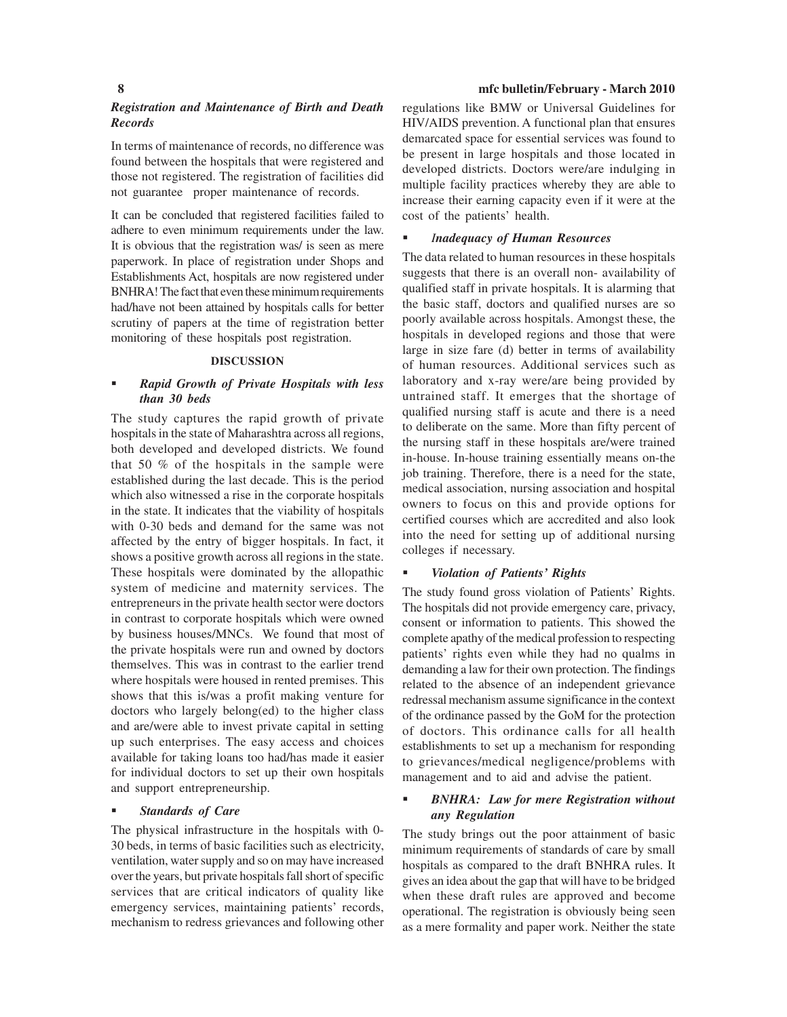#### *Registration and Maintenance of Birth and Death Records*

In terms of maintenance of records, no difference was found between the hospitals that were registered and those not registered. The registration of facilities did not guarantee proper maintenance of records.

It can be concluded that registered facilities failed to adhere to even minimum requirements under the law. It is obvious that the registration was/ is seen as mere paperwork. In place of registration under Shops and Establishments Act, hospitals are now registered under BNHRA! The fact that even these minimum requirements had/have not been attained by hospitals calls for better scrutiny of papers at the time of registration better monitoring of these hospitals post registration.

#### **DISCUSSION**

#### *Rapid Growth of Private Hospitals with less than 30 beds*

The study captures the rapid growth of private hospitals in the state of Maharashtra across all regions, both developed and developed districts. We found that 50 % of the hospitals in the sample were established during the last decade. This is the period which also witnessed a rise in the corporate hospitals in the state. It indicates that the viability of hospitals with 0-30 beds and demand for the same was not affected by the entry of bigger hospitals. In fact, it shows a positive growth across all regions in the state. These hospitals were dominated by the allopathic system of medicine and maternity services. The entrepreneurs in the private health sector were doctors in contrast to corporate hospitals which were owned by business houses/MNCs. We found that most of the private hospitals were run and owned by doctors themselves. This was in contrast to the earlier trend where hospitals were housed in rented premises. This shows that this is/was a profit making venture for doctors who largely belong(ed) to the higher class and are/were able to invest private capital in setting up such enterprises. The easy access and choices available for taking loans too had/has made it easier for individual doctors to set up their own hospitals and support entrepreneurship.

#### *Standards of Care*

The physical infrastructure in the hospitals with 0- 30 beds, in terms of basic facilities such as electricity, ventilation, water supply and so on may have increased over the years, but private hospitals fall short of specific services that are critical indicators of quality like emergency services, maintaining patients' records, mechanism to redress grievances and following other

#### **8 mfc bulletin/February - March 2010**

regulations like BMW or Universal Guidelines for HIV/AIDS prevention. A functional plan that ensures demarcated space for essential services was found to be present in large hospitals and those located in developed districts. Doctors were/are indulging in multiple facility practices whereby they are able to increase their earning capacity even if it were at the cost of the patients' health.

#### *Inadequacy of Human Resources*

The data related to human resources in these hospitals suggests that there is an overall non- availability of qualified staff in private hospitals. It is alarming that the basic staff, doctors and qualified nurses are so poorly available across hospitals. Amongst these, the hospitals in developed regions and those that were large in size fare (d) better in terms of availability of human resources. Additional services such as laboratory and x-ray were/are being provided by untrained staff. It emerges that the shortage of qualified nursing staff is acute and there is a need to deliberate on the same. More than fifty percent of the nursing staff in these hospitals are/were trained in-house. In-house training essentially means on-the job training. Therefore, there is a need for the state, medical association, nursing association and hospital owners to focus on this and provide options for certified courses which are accredited and also look into the need for setting up of additional nursing colleges if necessary.

#### *Violation of Patients' Rights*

The study found gross violation of Patients' Rights. The hospitals did not provide emergency care, privacy, consent or information to patients. This showed the complete apathy of the medical profession to respecting patients' rights even while they had no qualms in demanding a law for their own protection. The findings related to the absence of an independent grievance redressal mechanism assume significance in the context of the ordinance passed by the GoM for the protection of doctors. This ordinance calls for all health establishments to set up a mechanism for responding to grievances/medical negligence/problems with management and to aid and advise the patient.

#### *BNHRA: Law for mere Registration without any Regulation*

The study brings out the poor attainment of basic minimum requirements of standards of care by small hospitals as compared to the draft BNHRA rules. It gives an idea about the gap that will have to be bridged when these draft rules are approved and become operational. The registration is obviously being seen as a mere formality and paper work. Neither the state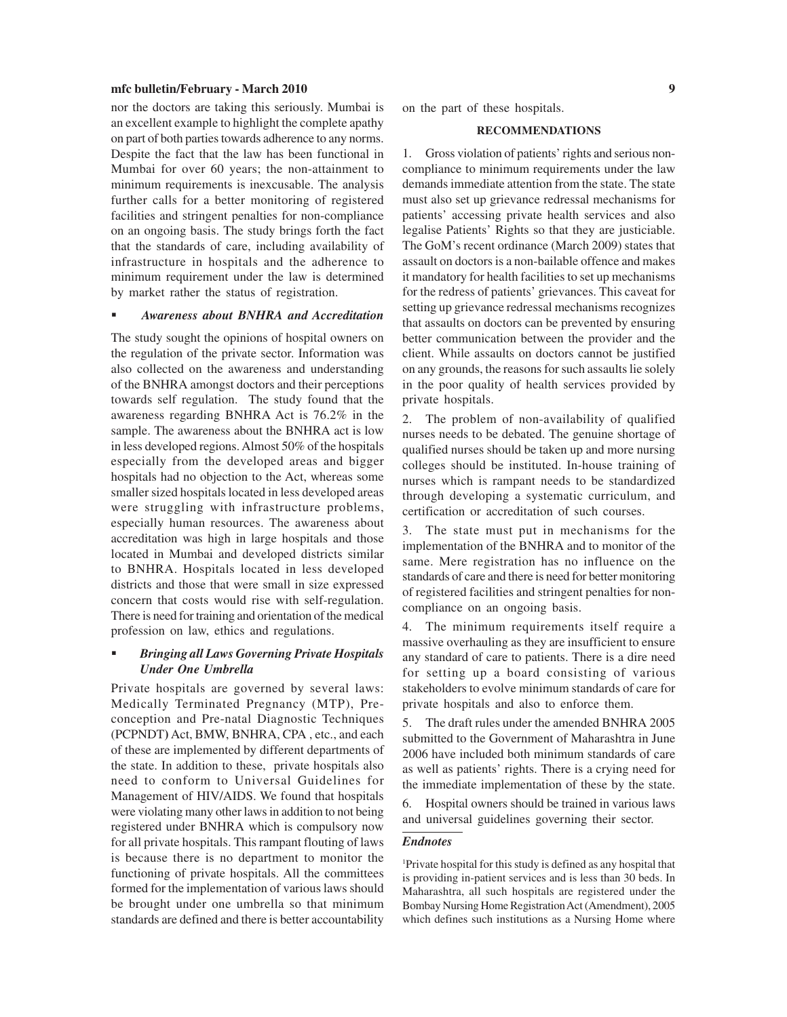nor the doctors are taking this seriously. Mumbai is an excellent example to highlight the complete apathy on part of both parties towards adherence to any norms. Despite the fact that the law has been functional in Mumbai for over 60 years; the non-attainment to minimum requirements is inexcusable. The analysis further calls for a better monitoring of registered facilities and stringent penalties for non-compliance on an ongoing basis. The study brings forth the fact that the standards of care, including availability of infrastructure in hospitals and the adherence to minimum requirement under the law is determined by market rather the status of registration.

#### *Awareness about BNHRA and Accreditation*

The study sought the opinions of hospital owners on the regulation of the private sector. Information was also collected on the awareness and understanding of the BNHRA amongst doctors and their perceptions towards self regulation. The study found that the awareness regarding BNHRA Act is 76.2% in the sample. The awareness about the BNHRA act is low in less developed regions. Almost 50% of the hospitals especially from the developed areas and bigger hospitals had no objection to the Act, whereas some smaller sized hospitals located in less developed areas were struggling with infrastructure problems, especially human resources. The awareness about accreditation was high in large hospitals and those located in Mumbai and developed districts similar to BNHRA. Hospitals located in less developed districts and those that were small in size expressed concern that costs would rise with self-regulation. There is need for training and orientation of the medical profession on law, ethics and regulations.

#### *Bringing all Laws Governing Private Hospitals Under One Umbrella*

Private hospitals are governed by several laws: Medically Terminated Pregnancy (MTP), Preconception and Pre-natal Diagnostic Techniques (PCPNDT**)** Act, BMW, BNHRA, CPA , etc., and each of these are implemented by different departments of the state. In addition to these, private hospitals also need to conform to Universal Guidelines for Management of HIV/AIDS. We found that hospitals were violating many other laws in addition to not being registered under BNHRA which is compulsory now for all private hospitals. This rampant flouting of laws is because there is no department to monitor the functioning of private hospitals. All the committees formed for the implementation of various laws should be brought under one umbrella so that minimum standards are defined and there is better accountability

on the part of these hospitals.

#### **RECOMMENDATIONS**

1. Gross violation of patients' rights and serious noncompliance to minimum requirements under the law demands immediate attention from the state. The state must also set up grievance redressal mechanisms for patients' accessing private health services and also legalise Patients' Rights so that they are justiciable. The GoM's recent ordinance (March 2009) states that assault on doctors is a non-bailable offence and makes it mandatory for health facilities to set up mechanisms for the redress of patients' grievances. This caveat for setting up grievance redressal mechanisms recognizes that assaults on doctors can be prevented by ensuring better communication between the provider and the client. While assaults on doctors cannot be justified on any grounds, the reasons for such assaults lie solely in the poor quality of health services provided by private hospitals.

2. The problem of non-availability of qualified nurses needs to be debated. The genuine shortage of qualified nurses should be taken up and more nursing colleges should be instituted. In-house training of nurses which is rampant needs to be standardized through developing a systematic curriculum, and certification or accreditation of such courses.

3. The state must put in mechanisms for the implementation of the BNHRA and to monitor of the same. Mere registration has no influence on the standards of care and there is need for better monitoring of registered facilities and stringent penalties for noncompliance on an ongoing basis.

4. The minimum requirements itself require a massive overhauling as they are insufficient to ensure any standard of care to patients. There is a dire need for setting up a board consisting of various stakeholders to evolve minimum standards of care for private hospitals and also to enforce them.

5. The draft rules under the amended BNHRA 2005 submitted to the Government of Maharashtra in June 2006 have included both minimum standards of care as well as patients' rights. There is a crying need for the immediate implementation of these by the state.

6. Hospital owners should be trained in various laws and universal guidelines governing their sector.

#### *Endnotes*

1 Private hospital for this study is defined as any hospital that is providing in-patient services and is less than 30 beds. In Maharashtra, all such hospitals are registered under the Bombay Nursing Home Registration Act (Amendment), 2005 which defines such institutions as a Nursing Home where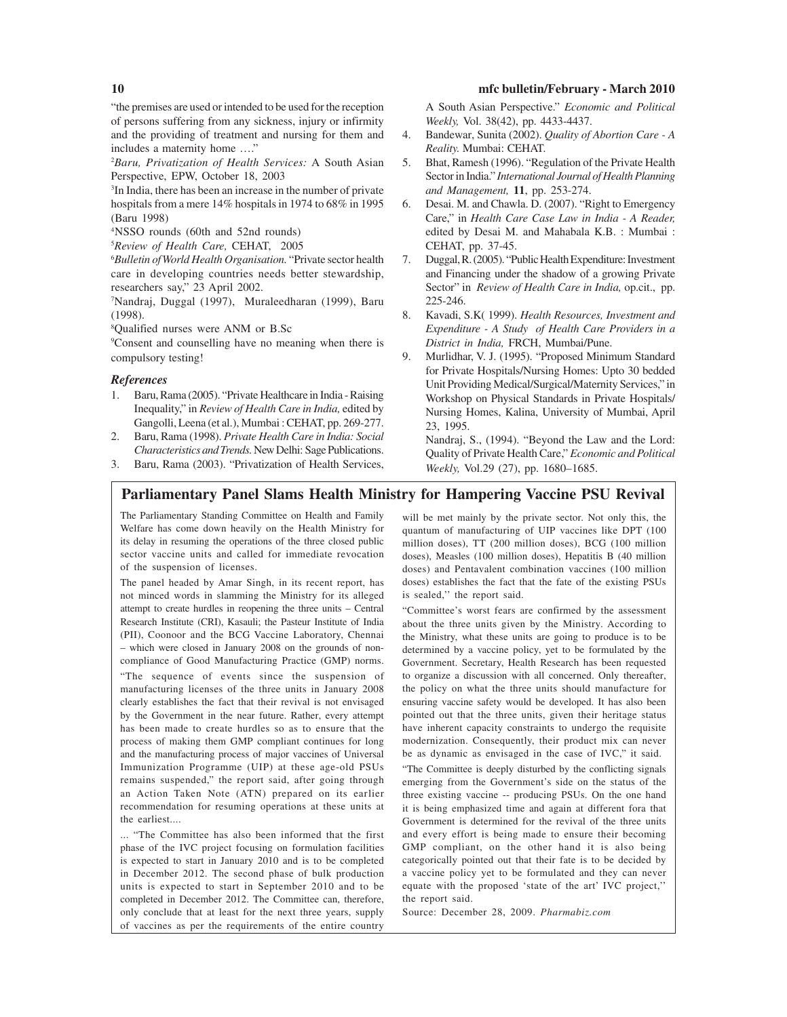"the premises are used or intended to be used for the reception of persons suffering from any sickness, injury or infirmity and the providing of treatment and nursing for them and includes a maternity home …."

2 *Baru, Privatization of Health Services:* A South Asian Perspective, EPW, October 18, 2003

3 In India, there has been an increase in the number of private hospitals from a mere 14% hospitals in 1974 to 68% in 1995 (Baru 1998)

4NSSO rounds (60th and 52nd rounds)

5 *Review of Health Care,* CEHAT, 2005

6 *Bulletin of World Health Organisation.* "Private sector health care in developing countries needs better stewardship, researchers say," 23 April 2002.

7 Nandraj, Duggal (1997), Muraleedharan (1999), Baru (1998).

8 Qualified nurses were ANM or B.Sc

9 Consent and counselling have no meaning when there is compulsory testing!

#### *References*

- 1. Baru, Rama (2005). "Private Healthcare in India Raising Inequality," in *Review of Health Care in India,* edited by Gangolli, Leena (et al.), Mumbai : CEHAT, pp. 269-277.
- 2. Baru, Rama (1998). *Private Health Care in India: Social Characteristics and Trends.* New Delhi: Sage Publications.
- 3. Baru, Rama (2003). "Privatization of Health Services,

A South Asian Perspective." *Economic and Political Weekly,* Vol. 38(42), pp. 4433-4437.

- 4. Bandewar, Sunita (2002). *Quality of Abortion Care A Reality.* Mumbai: CEHAT.
- 5. Bhat, Ramesh (1996). "Regulation of the Private Health Sector in India." *International Journal of Health Planning and Management,* **11**, pp. 253-274.
- 6. Desai. M. and Chawla. D. (2007). "Right to Emergency Care," in *Health Care Case Law in India - A Reader,* edited by Desai M. and Mahabala K.B. : Mumbai : CEHAT, pp. 37-45.
- 7. Duggal, R. (2005). "Public Health Expenditure: Investment and Financing under the shadow of a growing Private Sector" in *Review of Health Care in India,* op.cit., pp. 225-246.
- 8. Kavadi, S.K( 1999). *Health Resources, Investment and Expenditure - A Study of Health Care Providers in a District in India,* FRCH, Mumbai/Pune.
- 9. Murlidhar, V. J. (1995). "Proposed Minimum Standard for Private Hospitals/Nursing Homes: Upto 30 bedded Unit Providing Medical/Surgical/Maternity Services," in Workshop on Physical Standards in Private Hospitals/ Nursing Homes, Kalina, University of Mumbai, April 23, 1995.

Nandraj, S., (1994). "Beyond the Law and the Lord: Quality of Private Health Care," *Economic and Political Weekly,* Vol.29 (27), pp. 1680–1685.

## **Parliamentary Panel Slams Health Ministry for Hampering Vaccine PSU Revival**

The Parliamentary Standing Committee on Health and Family Welfare has come down heavily on the Health Ministry for its delay in resuming the operations of the three closed public sector vaccine units and called for immediate revocation of the suspension of licenses.

The panel headed by Amar Singh, in its recent report, has not minced words in slamming the Ministry for its alleged attempt to create hurdles in reopening the three units – Central Research Institute (CRI), Kasauli; the Pasteur Institute of India (PII), Coonoor and the BCG Vaccine Laboratory, Chennai – which were closed in January 2008 on the grounds of noncompliance of Good Manufacturing Practice (GMP) norms. "The sequence of events since the suspension of manufacturing licenses of the three units in January 2008 clearly establishes the fact that their revival is not envisaged by the Government in the near future. Rather, every attempt has been made to create hurdles so as to ensure that the process of making them GMP compliant continues for long and the manufacturing process of major vaccines of Universal Immunization Programme (UIP) at these age-old PSUs remains suspended," the report said, after going through an Action Taken Note (ATN) prepared on its earlier recommendation for resuming operations at these units at the earliest....

... "The Committee has also been informed that the first phase of the IVC project focusing on formulation facilities is expected to start in January 2010 and is to be completed in December 2012. The second phase of bulk production units is expected to start in September 2010 and to be completed in December 2012. The Committee can, therefore, only conclude that at least for the next three years, supply of vaccines as per the requirements of the entire country

will be met mainly by the private sector. Not only this, the quantum of manufacturing of UIP vaccines like DPT (100 million doses), TT (200 million doses), BCG (100 million doses), Measles (100 million doses), Hepatitis B (40 million doses) and Pentavalent combination vaccines (100 million doses) establishes the fact that the fate of the existing PSUs is sealed,'' the report said.

"Committee's worst fears are confirmed by the assessment about the three units given by the Ministry. According to the Ministry, what these units are going to produce is to be determined by a vaccine policy, yet to be formulated by the Government. Secretary, Health Research has been requested to organize a discussion with all concerned. Only thereafter, the policy on what the three units should manufacture for ensuring vaccine safety would be developed. It has also been pointed out that the three units, given their heritage status have inherent capacity constraints to undergo the requisite modernization. Consequently, their product mix can never be as dynamic as envisaged in the case of IVC," it said.

"The Committee is deeply disturbed by the conflicting signals emerging from the Government's side on the status of the three existing vaccine -- producing PSUs. On the one hand it is being emphasized time and again at different fora that Government is determined for the revival of the three units and every effort is being made to ensure their becoming GMP compliant, on the other hand it is also being categorically pointed out that their fate is to be decided by a vaccine policy yet to be formulated and they can never equate with the proposed 'state of the art' IVC project,'' the report said.

Source: December 28, 2009. *Pharmabiz.com*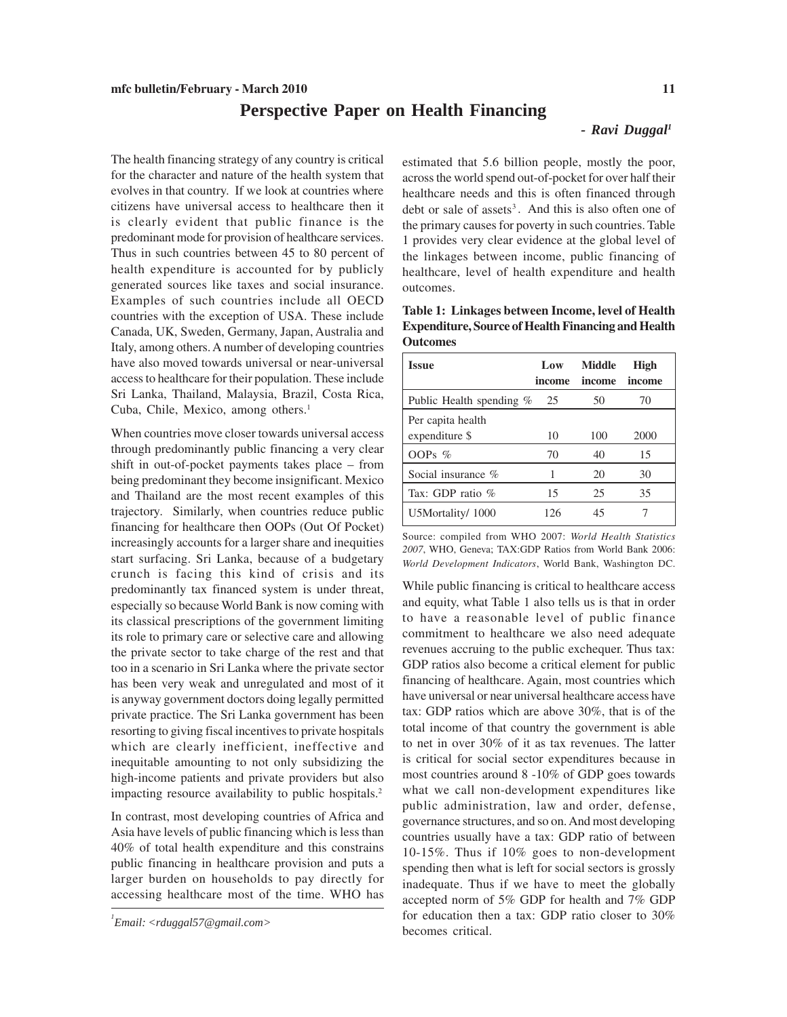# **Perspective Paper on Health Financing**

#### *- Ravi Duggal1*

The health financing strategy of any country is critical for the character and nature of the health system that evolves in that country. If we look at countries where citizens have universal access to healthcare then it is clearly evident that public finance is the predominant mode for provision of healthcare services. Thus in such countries between 45 to 80 percent of health expenditure is accounted for by publicly generated sources like taxes and social insurance. Examples of such countries include all OECD countries with the exception of USA. These include Canada, UK, Sweden, Germany, Japan, Australia and Italy, among others. A number of developing countries have also moved towards universal or near-universal access to healthcare for their population. These include Sri Lanka, Thailand, Malaysia, Brazil, Costa Rica, Cuba, Chile, Mexico, among others.<sup>1</sup>

When countries move closer towards universal access through predominantly public financing a very clear shift in out-of-pocket payments takes place – from being predominant they become insignificant. Mexico and Thailand are the most recent examples of this trajectory. Similarly, when countries reduce public financing for healthcare then OOPs (Out Of Pocket) increasingly accounts for a larger share and inequities start surfacing. Sri Lanka, because of a budgetary crunch is facing this kind of crisis and its predominantly tax financed system is under threat, especially so because World Bank is now coming with its classical prescriptions of the government limiting its role to primary care or selective care and allowing the private sector to take charge of the rest and that too in a scenario in Sri Lanka where the private sector has been very weak and unregulated and most of it is anyway government doctors doing legally permitted private practice. The Sri Lanka government has been resorting to giving fiscal incentives to private hospitals which are clearly inefficient, ineffective and inequitable amounting to not only subsidizing the high-income patients and private providers but also impacting resource availability to public hospitals.2

In contrast, most developing countries of Africa and Asia have levels of public financing which is less than 40% of total health expenditure and this constrains public financing in healthcare provision and puts a larger burden on households to pay directly for accessing healthcare most of the time. WHO has estimated that 5.6 billion people, mostly the poor, across the world spend out-of-pocket for over half their healthcare needs and this is often financed through debt or sale of assets $3$ . And this is also often one of the primary causes for poverty in such countries. Table 1 provides very clear evidence at the global level of the linkages between income, public financing of healthcare, level of health expenditure and health outcomes.

**Table 1: Linkages between Income, level of Health Expenditure, Source of Health Financing and Health Outcomes**

| <b>Issue</b>                        | Low<br>income | <b>Middle</b><br>income | High<br>income |
|-------------------------------------|---------------|-------------------------|----------------|
| Public Health spending %            | 25            | 50                      | 70             |
| Per capita health<br>expenditure \$ | 10            | 100                     | 2000           |
| OOPs $%$                            | 70            | 40                      | 15             |
| Social insurance $\%$               |               | 20                      | 30             |
| Tax: GDP ratio $%$                  | 15            | 25                      | 35             |
| U5Mortality/1000                    | 126           | 45                      |                |

Source: compiled from WHO 2007: *World Health Statistics 2007*, WHO, Geneva; TAX:GDP Ratios from World Bank 2006: *World Development Indicators*, World Bank, Washington DC.

While public financing is critical to healthcare access and equity, what Table 1 also tells us is that in order to have a reasonable level of public finance commitment to healthcare we also need adequate revenues accruing to the public exchequer. Thus tax: GDP ratios also become a critical element for public financing of healthcare. Again, most countries which have universal or near universal healthcare access have tax: GDP ratios which are above 30%, that is of the total income of that country the government is able to net in over 30% of it as tax revenues. The latter is critical for social sector expenditures because in most countries around 8 -10% of GDP goes towards what we call non-development expenditures like public administration, law and order, defense, governance structures, and so on. And most developing countries usually have a tax: GDP ratio of between 10-15%. Thus if 10% goes to non-development spending then what is left for social sectors is grossly inadequate. Thus if we have to meet the globally accepted norm of 5% GDP for health and 7% GDP for education then a tax: GDP ratio closer to 30% becomes critical.

*<sup>1</sup> Email: <rduggal57@gmail.com>*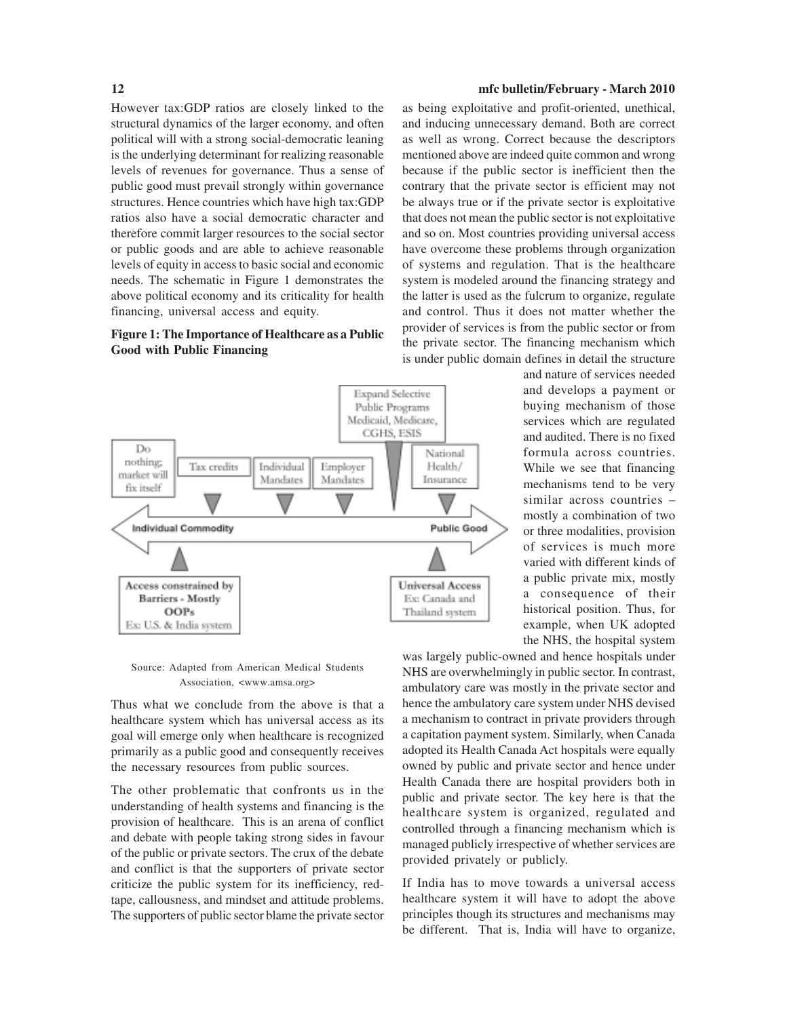However tax:GDP ratios are closely linked to the structural dynamics of the larger economy, and often political will with a strong social-democratic leaning is the underlying determinant for realizing reasonable levels of revenues for governance. Thus a sense of public good must prevail strongly within governance structures. Hence countries which have high tax:GDP ratios also have a social democratic character and therefore commit larger resources to the social sector or public goods and are able to achieve reasonable levels of equity in access to basic social and economic needs. The schematic in Figure 1 demonstrates the above political economy and its criticality for health financing, universal access and equity.

#### **Figure 1: The Importance of Healthcare as a Public Good with Public Financing**



as being exploitative and profit-oriented, unethical, and inducing unnecessary demand. Both are correct as well as wrong. Correct because the descriptors mentioned above are indeed quite common and wrong because if the public sector is inefficient then the contrary that the private sector is efficient may not be always true or if the private sector is exploitative that does not mean the public sector is not exploitative and so on. Most countries providing universal access have overcome these problems through organization of systems and regulation. That is the healthcare system is modeled around the financing strategy and the latter is used as the fulcrum to organize, regulate and control. Thus it does not matter whether the provider of services is from the public sector or from the private sector. The financing mechanism which is under public domain defines in detail the structure

> and nature of services needed and develops a payment or buying mechanism of those services which are regulated and audited. There is no fixed formula across countries. While we see that financing mechanisms tend to be very similar across countries – mostly a combination of two or three modalities, provision of services is much more varied with different kinds of a public private mix, mostly a consequence of their historical position. Thus, for example, when UK adopted the NHS, the hospital system

Source: Adapted from American Medical Students Association, <www.amsa.org>

Thus what we conclude from the above is that a healthcare system which has universal access as its goal will emerge only when healthcare is recognized primarily as a public good and consequently receives the necessary resources from public sources.

The other problematic that confronts us in the understanding of health systems and financing is the provision of healthcare. This is an arena of conflict and debate with people taking strong sides in favour of the public or private sectors. The crux of the debate and conflict is that the supporters of private sector criticize the public system for its inefficiency, redtape, callousness, and mindset and attitude problems. The supporters of public sector blame the private sector

was largely public-owned and hence hospitals under NHS are overwhelmingly in public sector. In contrast, ambulatory care was mostly in the private sector and hence the ambulatory care system under NHS devised a mechanism to contract in private providers through a capitation payment system. Similarly, when Canada adopted its Health Canada Act hospitals were equally owned by public and private sector and hence under Health Canada there are hospital providers both in public and private sector. The key here is that the healthcare system is organized, regulated and controlled through a financing mechanism which is managed publicly irrespective of whether services are provided privately or publicly.

If India has to move towards a universal access healthcare system it will have to adopt the above principles though its structures and mechanisms may be different. That is, India will have to organize,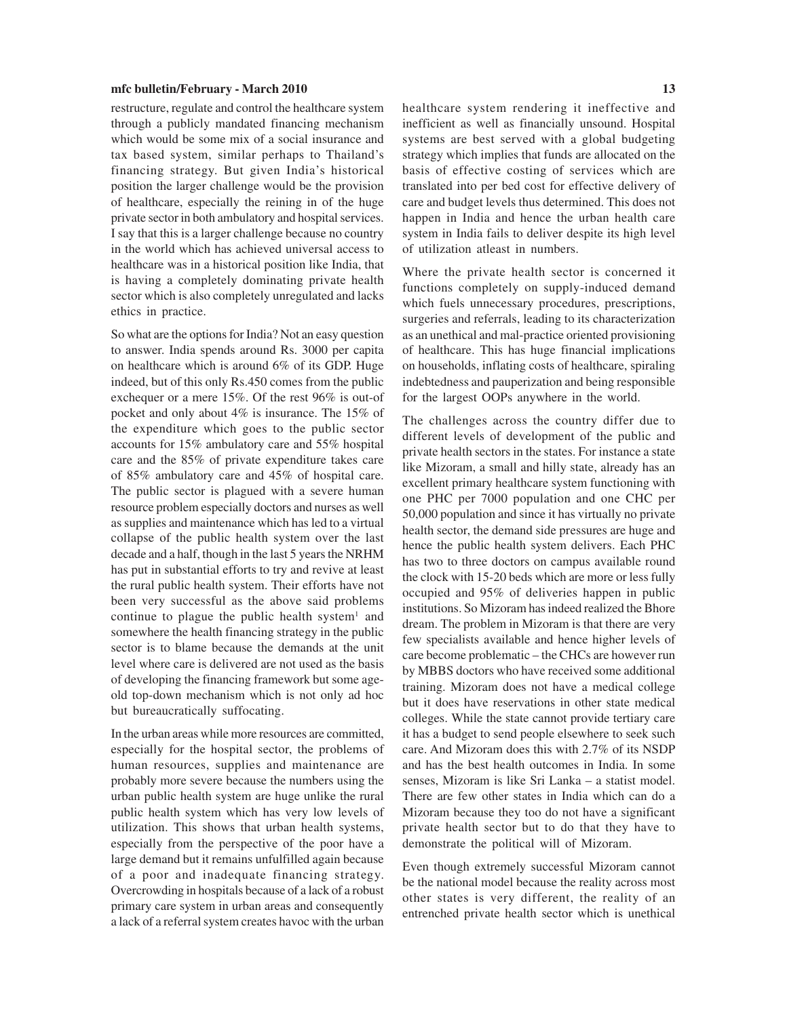restructure, regulate and control the healthcare system through a publicly mandated financing mechanism which would be some mix of a social insurance and tax based system, similar perhaps to Thailand's financing strategy. But given India's historical position the larger challenge would be the provision of healthcare, especially the reining in of the huge private sector in both ambulatory and hospital services. I say that this is a larger challenge because no country in the world which has achieved universal access to healthcare was in a historical position like India, that is having a completely dominating private health sector which is also completely unregulated and lacks ethics in practice.

So what are the options for India? Not an easy question to answer. India spends around Rs. 3000 per capita on healthcare which is around 6% of its GDP. Huge indeed, but of this only Rs.450 comes from the public exchequer or a mere 15%. Of the rest 96% is out-of pocket and only about 4% is insurance. The 15% of the expenditure which goes to the public sector accounts for 15% ambulatory care and 55% hospital care and the 85% of private expenditure takes care of 85% ambulatory care and 45% of hospital care. The public sector is plagued with a severe human resource problem especially doctors and nurses as well as supplies and maintenance which has led to a virtual collapse of the public health system over the last decade and a half, though in the last 5 years the NRHM has put in substantial efforts to try and revive at least the rural public health system. Their efforts have not been very successful as the above said problems continue to plague the public health system<sup>1</sup> and somewhere the health financing strategy in the public sector is to blame because the demands at the unit level where care is delivered are not used as the basis of developing the financing framework but some ageold top-down mechanism which is not only ad hoc but bureaucratically suffocating.

In the urban areas while more resources are committed, especially for the hospital sector, the problems of human resources, supplies and maintenance are probably more severe because the numbers using the urban public health system are huge unlike the rural public health system which has very low levels of utilization. This shows that urban health systems, especially from the perspective of the poor have a large demand but it remains unfulfilled again because of a poor and inadequate financing strategy. Overcrowding in hospitals because of a lack of a robust primary care system in urban areas and consequently a lack of a referral system creates havoc with the urban healthcare system rendering it ineffective and inefficient as well as financially unsound. Hospital systems are best served with a global budgeting strategy which implies that funds are allocated on the basis of effective costing of services which are translated into per bed cost for effective delivery of care and budget levels thus determined. This does not happen in India and hence the urban health care system in India fails to deliver despite its high level of utilization atleast in numbers.

Where the private health sector is concerned it functions completely on supply-induced demand which fuels unnecessary procedures, prescriptions, surgeries and referrals, leading to its characterization as an unethical and mal-practice oriented provisioning of healthcare. This has huge financial implications on households, inflating costs of healthcare, spiraling indebtedness and pauperization and being responsible for the largest OOPs anywhere in the world.

The challenges across the country differ due to different levels of development of the public and private health sectors in the states. For instance a state like Mizoram, a small and hilly state, already has an excellent primary healthcare system functioning with one PHC per 7000 population and one CHC per 50,000 population and since it has virtually no private health sector, the demand side pressures are huge and hence the public health system delivers. Each PHC has two to three doctors on campus available round the clock with 15-20 beds which are more or less fully occupied and 95% of deliveries happen in public institutions. So Mizoram has indeed realized the Bhore dream. The problem in Mizoram is that there are very few specialists available and hence higher levels of care become problematic – the CHCs are however run by MBBS doctors who have received some additional training. Mizoram does not have a medical college but it does have reservations in other state medical colleges. While the state cannot provide tertiary care it has a budget to send people elsewhere to seek such care. And Mizoram does this with 2.7% of its NSDP and has the best health outcomes in India. In some senses, Mizoram is like Sri Lanka – a statist model. There are few other states in India which can do a Mizoram because they too do not have a significant private health sector but to do that they have to demonstrate the political will of Mizoram.

Even though extremely successful Mizoram cannot be the national model because the reality across most other states is very different, the reality of an entrenched private health sector which is unethical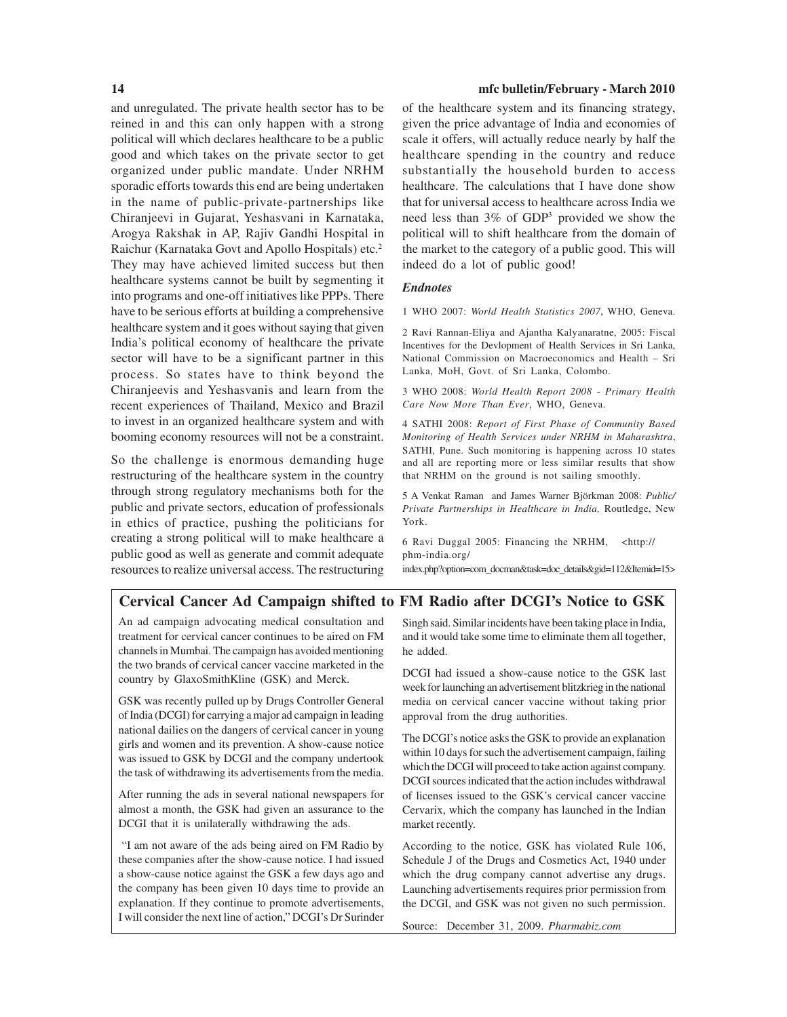and unregulated. The private health sector has to be reined in and this can only happen with a strong political will which declares healthcare to be a public good and which takes on the private sector to get organized under public mandate. Under NRHM sporadic efforts towards this end are being undertaken in the name of public-private-partnerships like Chiranjeevi in Gujarat, Yeshasvani in Karnataka, Arogya Rakshak in AP, Rajiv Gandhi Hospital in Raichur (Karnataka Govt and Apollo Hospitals) etc.2 They may have achieved limited success but then healthcare systems cannot be built by segmenting it into programs and one-off initiatives like PPPs. There have to be serious efforts at building a comprehensive healthcare system and it goes without saying that given India's political economy of healthcare the private sector will have to be a significant partner in this process. So states have to think beyond the Chiranjeevis and Yeshasvanis and learn from the recent experiences of Thailand, Mexico and Brazil to invest in an organized healthcare system and with booming economy resources will not be a constraint.

So the challenge is enormous demanding huge restructuring of the healthcare system in the country through strong regulatory mechanisms both for the public and private sectors, education of professionals in ethics of practice, pushing the politicians for creating a strong political will to make healthcare a public good as well as generate and commit adequate resources to realize universal access. The restructuring

#### **14 mfc bulletin/February - March 2010**

of the healthcare system and its financing strategy, given the price advantage of India and economies of scale it offers, will actually reduce nearly by half the healthcare spending in the country and reduce substantially the household burden to access healthcare. The calculations that I have done show that for universal access to healthcare across India we need less than 3% of GDP3 provided we show the political will to shift healthcare from the domain of the market to the category of a public good. This will indeed do a lot of public good!

#### *Endnotes*

1 WHO 2007: *World Health Statistics 2007*, WHO, Geneva.

2 Ravi Rannan-Eliya and Ajantha Kalyanaratne, 2005: Fiscal Incentives for the Devlopment of Health Services in Sri Lanka, National Commission on Macroeconomics and Health – Sri Lanka, MoH, Govt. of Sri Lanka, Colombo.

3 WHO 2008: *World Health Report 2008* - *Primary Health Care Now More Than Ever*, WHO, Geneva.

4 SATHI 2008: *Report of First Phase of Community Based Monitoring of Health Services under NRHM in Maharashtra*, SATHI, Pune. Such monitoring is happening across 10 states and all are reporting more or less similar results that show that NRHM on the ground is not sailing smoothly.

5 A Venkat Raman and James Warner Björkman 2008: *Public/ Private Partnerships in Healthcare in India,* Routledge, New York.

6 Ravi Duggal 2005: Financing the NRHM, <http:// phm-india.org/

index.php?option=com\_docman&task=doc\_details&gid=112&Itemid=15>

### **Cervical Cancer Ad Campaign shifted to FM Radio after DCGI's Notice to GSK**

An ad campaign advocating medical consultation and treatment for cervical cancer continues to be aired on FM channels in Mumbai. The campaign has avoided mentioning the two brands of cervical cancer vaccine marketed in the country by GlaxoSmithKline (GSK) and Merck.

GSK was recently pulled up by Drugs Controller General of India (DCGI) for carrying a major ad campaign in leading national dailies on the dangers of cervical cancer in young girls and women and its prevention. A show-cause notice was issued to GSK by DCGI and the company undertook the task of withdrawing its advertisements from the media.

After running the ads in several national newspapers for almost a month, the GSK had given an assurance to the DCGI that it is unilaterally withdrawing the ads.

 "I am not aware of the ads being aired on FM Radio by these companies after the show-cause notice. I had issued a show-cause notice against the GSK a few days ago and the company has been given 10 days time to provide an explanation. If they continue to promote advertisements, I will consider the next line of action," DCGI's Dr Surinder

Singh said. Similar incidents have been taking place in India, and it would take some time to eliminate them all together, he added.

DCGI had issued a show-cause notice to the GSK last week for launching an advertisement blitzkrieg in the national media on cervical cancer vaccine without taking prior approval from the drug authorities.

The DCGI's notice asks the GSK to provide an explanation within 10 days for such the advertisement campaign, failing which the DCGI will proceed to take action against company. DCGI sources indicated that the action includes withdrawal of licenses issued to the GSK's cervical cancer vaccine Cervarix, which the company has launched in the Indian market recently.

According to the notice, GSK has violated Rule 106, Schedule J of the Drugs and Cosmetics Act, 1940 under which the drug company cannot advertise any drugs. Launching advertisements requires prior permission from the DCGI, and GSK was not given no such permission.

Source: December 31, 2009. *Pharmabiz.com*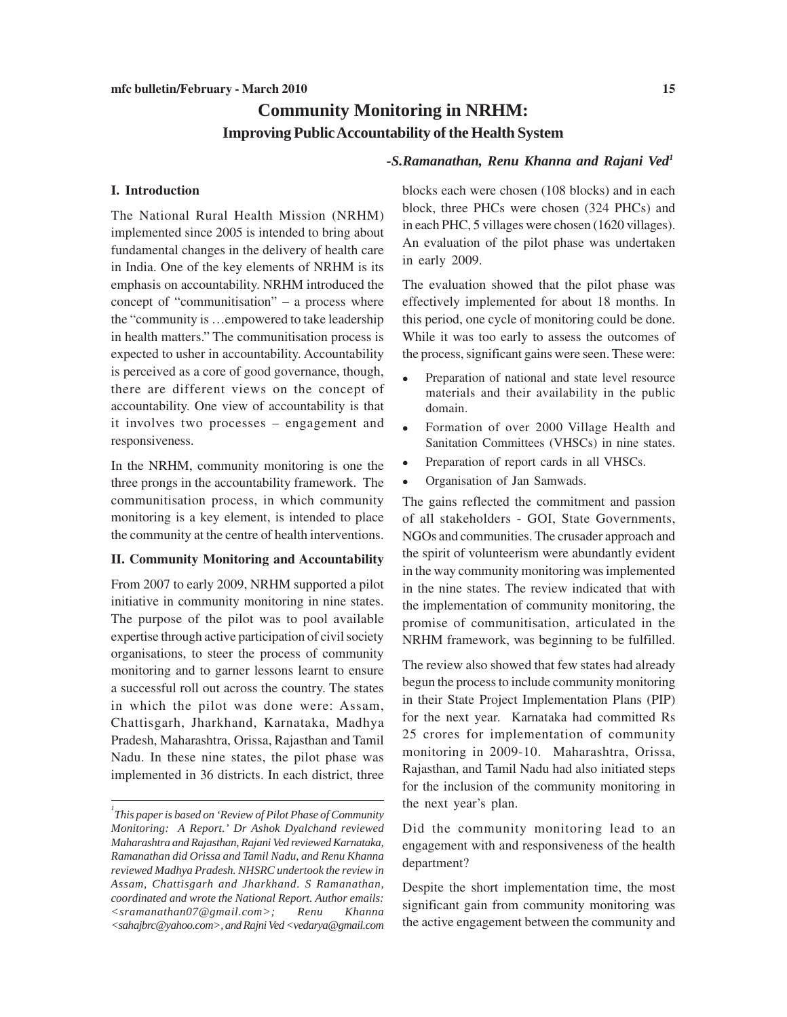# **Community Monitoring in NRHM: Improving Public Accountability of the Health System**

#### *-S.Ramanathan, Renu Khanna and Rajani Ved1*

#### **I. Introduction**

The National Rural Health Mission (NRHM) implemented since 2005 is intended to bring about fundamental changes in the delivery of health care in India. One of the key elements of NRHM is its emphasis on accountability. NRHM introduced the concept of "communitisation" – a process where the "community is …empowered to take leadership in health matters." The communitisation process is expected to usher in accountability. Accountability is perceived as a core of good governance, though, there are different views on the concept of accountability. One view of accountability is that it involves two processes – engagement and responsiveness.

In the NRHM, community monitoring is one the three prongs in the accountability framework. The communitisation process, in which community monitoring is a key element, is intended to place the community at the centre of health interventions.

#### **II. Community Monitoring and Accountability**

From 2007 to early 2009, NRHM supported a pilot initiative in community monitoring in nine states. The purpose of the pilot was to pool available expertise through active participation of civil society organisations, to steer the process of community monitoring and to garner lessons learnt to ensure a successful roll out across the country. The states in which the pilot was done were: Assam, Chattisgarh, Jharkhand, Karnataka, Madhya Pradesh, Maharashtra, Orissa, Rajasthan and Tamil Nadu. In these nine states, the pilot phase was implemented in 36 districts. In each district, three blocks each were chosen (108 blocks) and in each block, three PHCs were chosen (324 PHCs) and in each PHC, 5 villages were chosen (1620 villages). An evaluation of the pilot phase was undertaken in early 2009.

The evaluation showed that the pilot phase was effectively implemented for about 18 months. In this period, one cycle of monitoring could be done. While it was too early to assess the outcomes of the process, significant gains were seen. These were:

- Preparation of national and state level resource materials and their availability in the public domain.
- Formation of over 2000 Village Health and Sanitation Committees (VHSCs) in nine states.
- Preparation of report cards in all VHSCs.
- Organisation of Jan Samwads.

The gains reflected the commitment and passion of all stakeholders - GOI, State Governments, NGOs and communities. The crusader approach and the spirit of volunteerism were abundantly evident in the way community monitoring was implemented in the nine states. The review indicated that with the implementation of community monitoring, the promise of communitisation, articulated in the NRHM framework, was beginning to be fulfilled.

The review also showed that few states had already begun the process to include community monitoring in their State Project Implementation Plans (PIP) for the next year. Karnataka had committed Rs 25 crores for implementation of community monitoring in 2009-10. Maharashtra, Orissa, Rajasthan, and Tamil Nadu had also initiated steps for the inclusion of the community monitoring in the next year's plan.

Did the community monitoring lead to an engagement with and responsiveness of the health department?

Despite the short implementation time, the most significant gain from community monitoring was the active engagement between the community and

*<sup>1</sup> This paper is based on 'Review of Pilot Phase of Community Monitoring: A Report.' Dr Ashok Dyalchand reviewed Maharashtra and Rajasthan, Rajani Ved reviewed Karnataka, Ramanathan did Orissa and Tamil Nadu, and Renu Khanna reviewed Madhya Pradesh. NHSRC undertook the review in Assam, Chattisgarh and Jharkhand. S Ramanathan, coordinated and wrote the National Report. Author emails: <sramanathan07@gmail.com>; Renu Khanna <sahajbrc@yahoo.com>, and Rajni Ved <vedarya@gmail.com*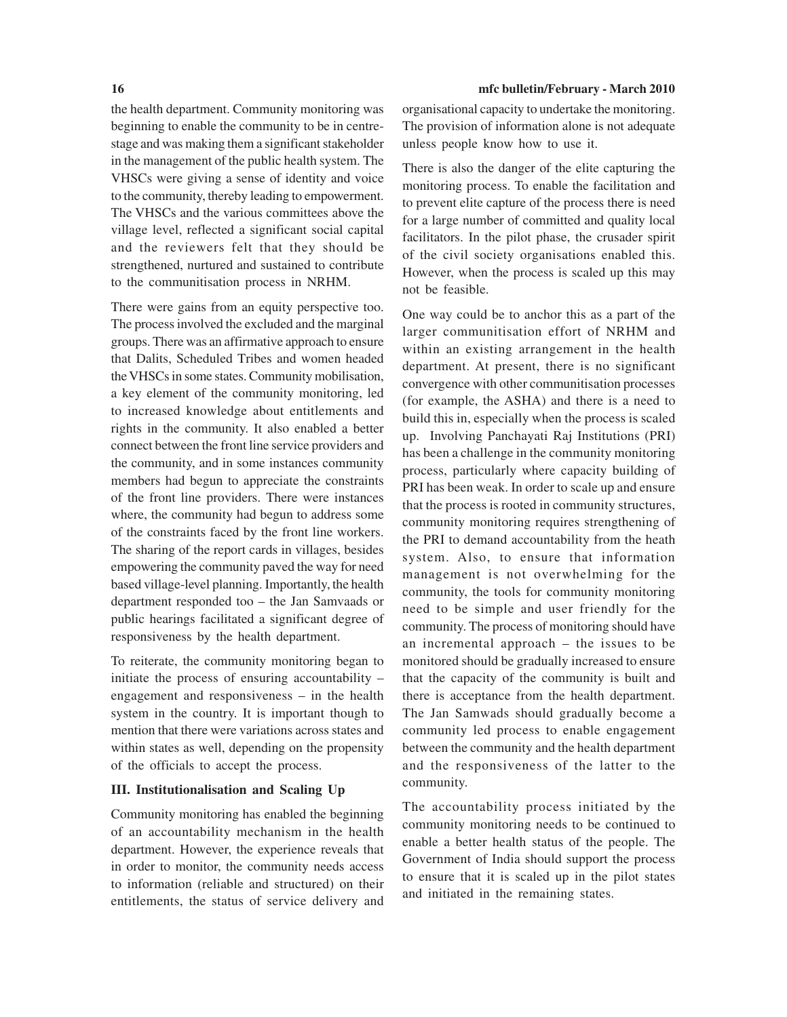the health department. Community monitoring was beginning to enable the community to be in centrestage and was making them a significant stakeholder in the management of the public health system. The VHSCs were giving a sense of identity and voice to the community, thereby leading to empowerment. The VHSCs and the various committees above the village level, reflected a significant social capital and the reviewers felt that they should be strengthened, nurtured and sustained to contribute to the communitisation process in NRHM.

There were gains from an equity perspective too. The process involved the excluded and the marginal groups. There was an affirmative approach to ensure that Dalits, Scheduled Tribes and women headed the VHSCs in some states. Community mobilisation, a key element of the community monitoring, led to increased knowledge about entitlements and rights in the community. It also enabled a better connect between the front line service providers and the community, and in some instances community members had begun to appreciate the constraints of the front line providers. There were instances where, the community had begun to address some of the constraints faced by the front line workers. The sharing of the report cards in villages, besides empowering the community paved the way for need based village-level planning. Importantly, the health department responded too – the Jan Samvaads or public hearings facilitated a significant degree of responsiveness by the health department.

To reiterate, the community monitoring began to initiate the process of ensuring accountability – engagement and responsiveness – in the health system in the country. It is important though to mention that there were variations across states and within states as well, depending on the propensity of the officials to accept the process.

#### **III. Institutionalisation and Scaling Up**

Community monitoring has enabled the beginning of an accountability mechanism in the health department. However, the experience reveals that in order to monitor, the community needs access to information (reliable and structured) on their entitlements, the status of service delivery and

#### **16 mfc bulletin/February - March 2010**

organisational capacity to undertake the monitoring. The provision of information alone is not adequate unless people know how to use it.

There is also the danger of the elite capturing the monitoring process. To enable the facilitation and to prevent elite capture of the process there is need for a large number of committed and quality local facilitators. In the pilot phase, the crusader spirit of the civil society organisations enabled this. However, when the process is scaled up this may not be feasible.

One way could be to anchor this as a part of the larger communitisation effort of NRHM and within an existing arrangement in the health department. At present, there is no significant convergence with other communitisation processes (for example, the ASHA) and there is a need to build this in, especially when the process is scaled up. Involving Panchayati Raj Institutions (PRI) has been a challenge in the community monitoring process, particularly where capacity building of PRI has been weak. In order to scale up and ensure that the process is rooted in community structures, community monitoring requires strengthening of the PRI to demand accountability from the heath system. Also, to ensure that information management is not overwhelming for the community, the tools for community monitoring need to be simple and user friendly for the community. The process of monitoring should have an incremental approach – the issues to be monitored should be gradually increased to ensure that the capacity of the community is built and there is acceptance from the health department. The Jan Samwads should gradually become a community led process to enable engagement between the community and the health department and the responsiveness of the latter to the community.

The accountability process initiated by the community monitoring needs to be continued to enable a better health status of the people. The Government of India should support the process to ensure that it is scaled up in the pilot states and initiated in the remaining states.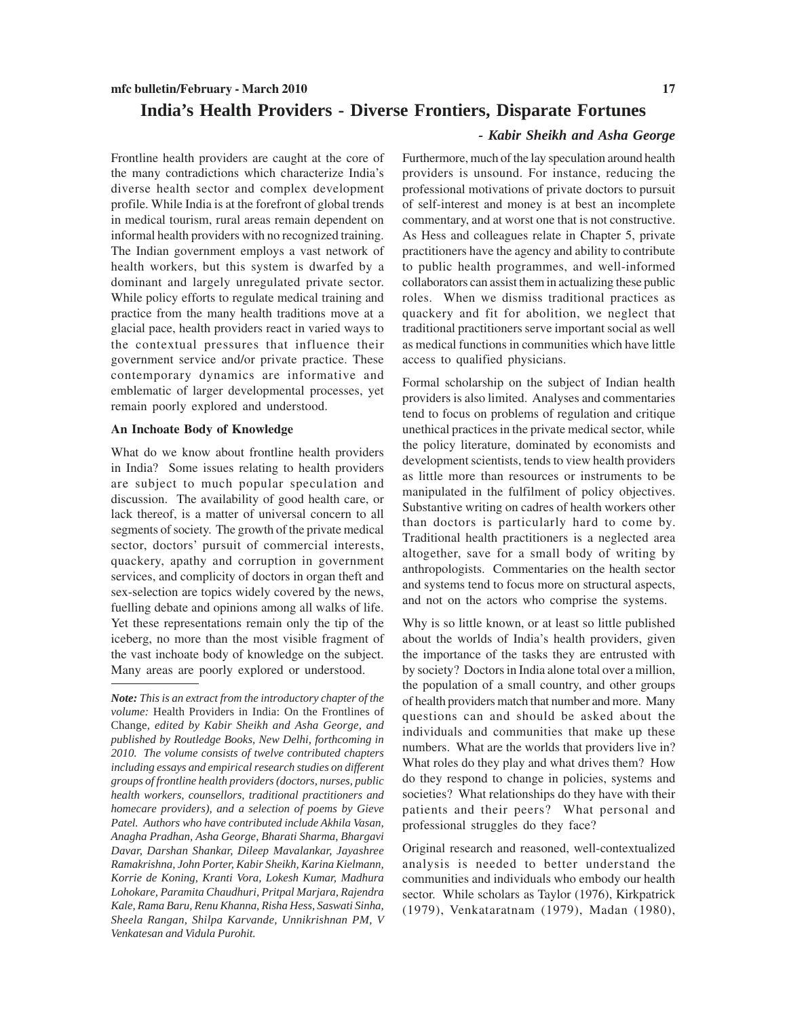# **India's Health Providers - Diverse Frontiers, Disparate Fortunes**

Frontline health providers are caught at the core of the many contradictions which characterize India's diverse health sector and complex development profile. While India is at the forefront of global trends in medical tourism, rural areas remain dependent on informal health providers with no recognized training. The Indian government employs a vast network of health workers, but this system is dwarfed by a dominant and largely unregulated private sector. While policy efforts to regulate medical training and practice from the many health traditions move at a glacial pace, health providers react in varied ways to the contextual pressures that influence their government service and/or private practice. These contemporary dynamics are informative and emblematic of larger developmental processes, yet remain poorly explored and understood.

#### **An Inchoate Body of Knowledge**

What do we know about frontline health providers in India? Some issues relating to health providers are subject to much popular speculation and discussion. The availability of good health care, or lack thereof, is a matter of universal concern to all segments of society. The growth of the private medical sector, doctors' pursuit of commercial interests, quackery, apathy and corruption in government services, and complicity of doctors in organ theft and sex-selection are topics widely covered by the news, fuelling debate and opinions among all walks of life. Yet these representations remain only the tip of the iceberg, no more than the most visible fragment of the vast inchoate body of knowledge on the subject. Many areas are poorly explored or understood.

#### *- Kabir Sheikh and Asha George*

Furthermore, much of the lay speculation around health providers is unsound. For instance, reducing the professional motivations of private doctors to pursuit of self-interest and money is at best an incomplete commentary, and at worst one that is not constructive. As Hess and colleagues relate in Chapter 5, private practitioners have the agency and ability to contribute to public health programmes, and well-informed collaborators can assist them in actualizing these public roles. When we dismiss traditional practices as quackery and fit for abolition, we neglect that traditional practitioners serve important social as well as medical functions in communities which have little access to qualified physicians.

Formal scholarship on the subject of Indian health providers is also limited. Analyses and commentaries tend to focus on problems of regulation and critique unethical practices in the private medical sector, while the policy literature, dominated by economists and development scientists, tends to view health providers as little more than resources or instruments to be manipulated in the fulfilment of policy objectives. Substantive writing on cadres of health workers other than doctors is particularly hard to come by. Traditional health practitioners is a neglected area altogether, save for a small body of writing by anthropologists. Commentaries on the health sector and systems tend to focus more on structural aspects, and not on the actors who comprise the systems.

Why is so little known, or at least so little published about the worlds of India's health providers, given the importance of the tasks they are entrusted with by society? Doctors in India alone total over a million, the population of a small country, and other groups of health providers match that number and more. Many questions can and should be asked about the individuals and communities that make up these numbers. What are the worlds that providers live in? What roles do they play and what drives them? How do they respond to change in policies, systems and societies? What relationships do they have with their patients and their peers? What personal and professional struggles do they face?

Original research and reasoned, well-contextualized analysis is needed to better understand the communities and individuals who embody our health sector. While scholars as Taylor (1976), Kirkpatrick (1979), Venkataratnam (1979), Madan (1980),

*Note: This is an extract from the introductory chapter of the volume:* Health Providers in India: On the Frontlines of Change, *edited by Kabir Sheikh and Asha George, and published by Routledge Books, New Delhi, forthcoming in 2010. The volume consists of twelve contributed chapters including essays and empirical research studies on different groups of frontline health providers (doctors, nurses, public health workers, counsellors, traditional practitioners and homecare providers), and a selection of poems by Gieve Patel. Authors who have contributed include Akhila Vasan, Anagha Pradhan, Asha George, Bharati Sharma, Bhargavi Davar, Darshan Shankar, Dileep Mavalankar, Jayashree Ramakrishna, John Porter, Kabir Sheikh, Karina Kielmann, Korrie de Koning, Kranti Vora, Lokesh Kumar, Madhura Lohokare, Paramita Chaudhuri, Pritpal Marjara, Rajendra Kale, Rama Baru, Renu Khanna, Risha Hess, Saswati Sinha, Sheela Rangan, Shilpa Karvande, Unnikrishnan PM, V Venkatesan and Vidula Purohit.*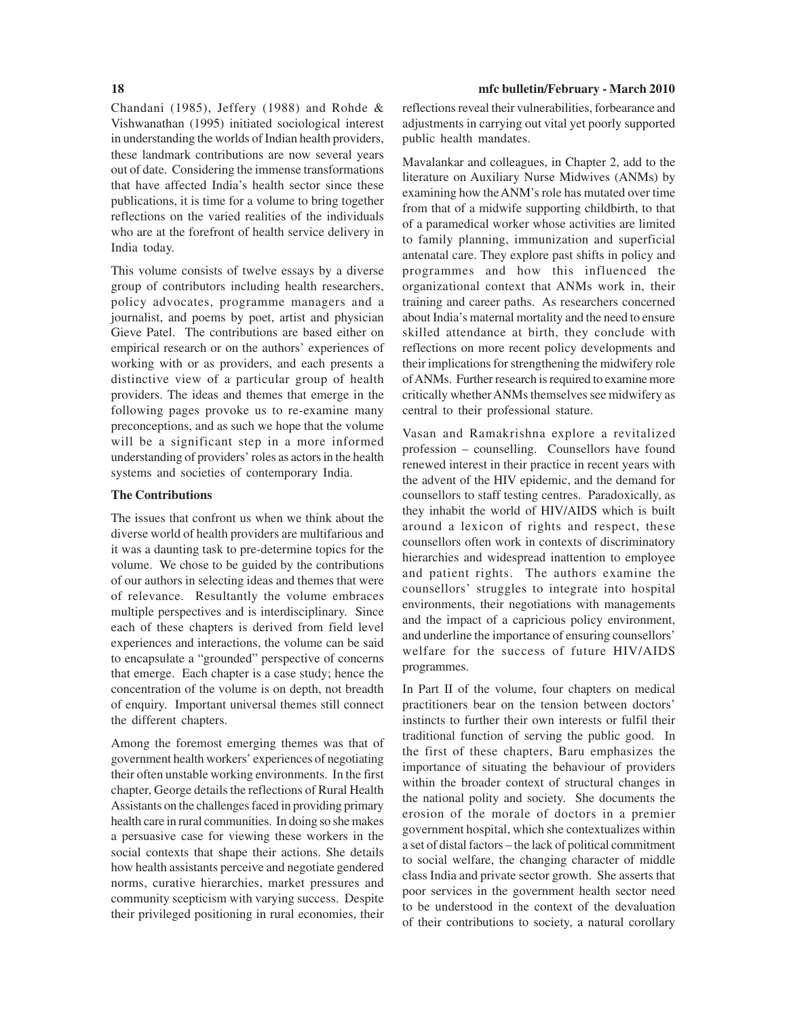Chandani (1985), Jeffery (1988) and Rohde & Vishwanathan (1995) initiated sociological interest in understanding the worlds of Indian health providers, these landmark contributions are now several years out of date. Considering the immense transformations that have affected India's health sector since these publications, it is time for a volume to bring together reflections on the varied realities of the individuals who are at the forefront of health service delivery in India today.

This volume consists of twelve essays by a diverse group of contributors including health researchers, policy advocates, programme managers and a journalist, and poems by poet, artist and physician Gieve Patel. The contributions are based either on empirical research or on the authors' experiences of working with or as providers, and each presents a distinctive view of a particular group of health providers. The ideas and themes that emerge in the following pages provoke us to re-examine many preconceptions, and as such we hope that the volume will be a significant step in a more informed understanding of providers' roles as actors in the health systems and societies of contemporary India.

#### **The Contributions**

The issues that confront us when we think about the diverse world of health providers are multifarious and it was a daunting task to pre-determine topics for the volume. We chose to be guided by the contributions of our authors in selecting ideas and themes that were of relevance. Resultantly the volume embraces multiple perspectives and is interdisciplinary. Since each of these chapters is derived from field level experiences and interactions, the volume can be said to encapsulate a "grounded" perspective of concerns that emerge. Each chapter is a case study; hence the concentration of the volume is on depth, not breadth of enquiry. Important universal themes still connect the different chapters.

Among the foremost emerging themes was that of government health workers' experiences of negotiating their often unstable working environments. In the first chapter, George details the reflections of Rural Health Assistants on the challenges faced in providing primary health care in rural communities. In doing so she makes a persuasive case for viewing these workers in the social contexts that shape their actions. She details how health assistants perceive and negotiate gendered norms, curative hierarchies, market pressures and community scepticism with varying success. Despite their privileged positioning in rural economies, their

#### **18 mfc bulletin/February - March 2010**

reflections reveal their vulnerabilities, forbearance and adjustments in carrying out vital yet poorly supported public health mandates.

Mavalankar and colleagues, in Chapter 2, add to the literature on Auxiliary Nurse Midwives (ANMs) by examining how the ANM's role has mutated over time from that of a midwife supporting childbirth, to that of a paramedical worker whose activities are limited to family planning, immunization and superficial antenatal care. They explore past shifts in policy and programmes and how this influenced the organizational context that ANMs work in, their training and career paths. As researchers concerned about India's maternal mortality and the need to ensure skilled attendance at birth, they conclude with reflections on more recent policy developments and their implications for strengthening the midwifery role of ANMs. Further research is required to examine more critically whether ANMs themselves see midwifery as central to their professional stature.

Vasan and Ramakrishna explore a revitalized profession – counselling. Counsellors have found renewed interest in their practice in recent years with the advent of the HIV epidemic, and the demand for counsellors to staff testing centres. Paradoxically, as they inhabit the world of HIV/AIDS which is built around a lexicon of rights and respect, these counsellors often work in contexts of discriminatory hierarchies and widespread inattention to employee and patient rights. The authors examine the counsellors' struggles to integrate into hospital environments, their negotiations with managements and the impact of a capricious policy environment, and underline the importance of ensuring counsellors' welfare for the success of future HIV/AIDS programmes.

In Part II of the volume, four chapters on medical practitioners bear on the tension between doctors' instincts to further their own interests or fulfil their traditional function of serving the public good. In the first of these chapters, Baru emphasizes the importance of situating the behaviour of providers within the broader context of structural changes in the national polity and society. She documents the erosion of the morale of doctors in a premier government hospital, which she contextualizes within a set of distal factors – the lack of political commitment to social welfare, the changing character of middle class India and private sector growth. She asserts that poor services in the government health sector need to be understood in the context of the devaluation of their contributions to society, a natural corollary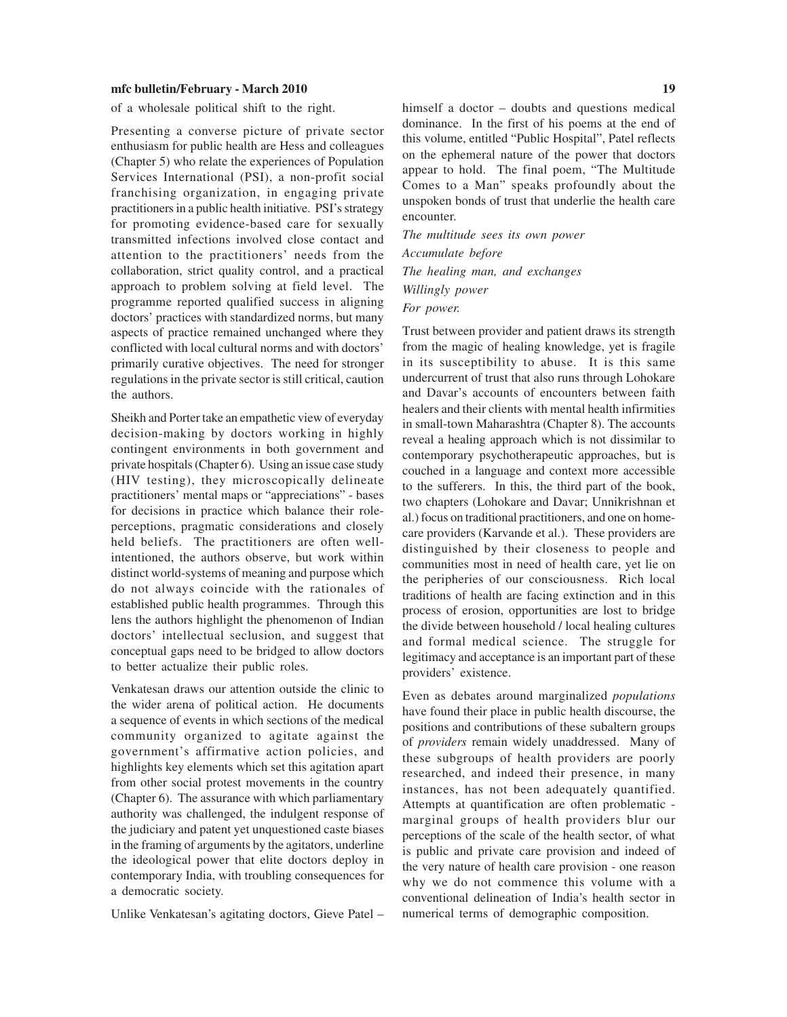of a wholesale political shift to the right.

Presenting a converse picture of private sector enthusiasm for public health are Hess and colleagues (Chapter 5) who relate the experiences of Population Services International (PSI), a non-profit social franchising organization, in engaging private practitioners in a public health initiative. PSI's strategy for promoting evidence-based care for sexually transmitted infections involved close contact and attention to the practitioners' needs from the collaboration, strict quality control, and a practical approach to problem solving at field level. The programme reported qualified success in aligning doctors' practices with standardized norms, but many aspects of practice remained unchanged where they conflicted with local cultural norms and with doctors' primarily curative objectives. The need for stronger regulations in the private sector is still critical, caution the authors.

Sheikh and Porter take an empathetic view of everyday decision-making by doctors working in highly contingent environments in both government and private hospitals (Chapter 6). Using an issue case study (HIV testing), they microscopically delineate practitioners' mental maps or "appreciations" - bases for decisions in practice which balance their roleperceptions, pragmatic considerations and closely held beliefs. The practitioners are often wellintentioned, the authors observe, but work within distinct world-systems of meaning and purpose which do not always coincide with the rationales of established public health programmes. Through this lens the authors highlight the phenomenon of Indian doctors' intellectual seclusion, and suggest that conceptual gaps need to be bridged to allow doctors to better actualize their public roles.

Venkatesan draws our attention outside the clinic to the wider arena of political action. He documents a sequence of events in which sections of the medical community organized to agitate against the government's affirmative action policies, and highlights key elements which set this agitation apart from other social protest movements in the country (Chapter 6). The assurance with which parliamentary authority was challenged, the indulgent response of the judiciary and patent yet unquestioned caste biases in the framing of arguments by the agitators, underline the ideological power that elite doctors deploy in contemporary India, with troubling consequences for a democratic society.

Unlike Venkatesan's agitating doctors, Gieve Patel –

himself a doctor – doubts and questions medical dominance. In the first of his poems at the end of this volume, entitled "Public Hospital", Patel reflects on the ephemeral nature of the power that doctors appear to hold. The final poem, "The Multitude Comes to a Man" speaks profoundly about the unspoken bonds of trust that underlie the health care encounter.

*The multitude sees its own power Accumulate before The healing man, and exchanges Willingly power For power.*

Trust between provider and patient draws its strength from the magic of healing knowledge, yet is fragile in its susceptibility to abuse. It is this same undercurrent of trust that also runs through Lohokare and Davar's accounts of encounters between faith healers and their clients with mental health infirmities in small-town Maharashtra (Chapter 8). The accounts reveal a healing approach which is not dissimilar to contemporary psychotherapeutic approaches, but is couched in a language and context more accessible to the sufferers. In this, the third part of the book, two chapters (Lohokare and Davar; Unnikrishnan et al.) focus on traditional practitioners, and one on homecare providers (Karvande et al.). These providers are distinguished by their closeness to people and communities most in need of health care, yet lie on the peripheries of our consciousness. Rich local traditions of health are facing extinction and in this process of erosion, opportunities are lost to bridge the divide between household / local healing cultures and formal medical science. The struggle for legitimacy and acceptance is an important part of these providers' existence.

Even as debates around marginalized *populations* have found their place in public health discourse, the positions and contributions of these subaltern groups of *providers* remain widely unaddressed. Many of these subgroups of health providers are poorly researched, and indeed their presence, in many instances, has not been adequately quantified. Attempts at quantification are often problematic marginal groups of health providers blur our perceptions of the scale of the health sector, of what is public and private care provision and indeed of the very nature of health care provision - one reason why we do not commence this volume with a conventional delineation of India's health sector in numerical terms of demographic composition.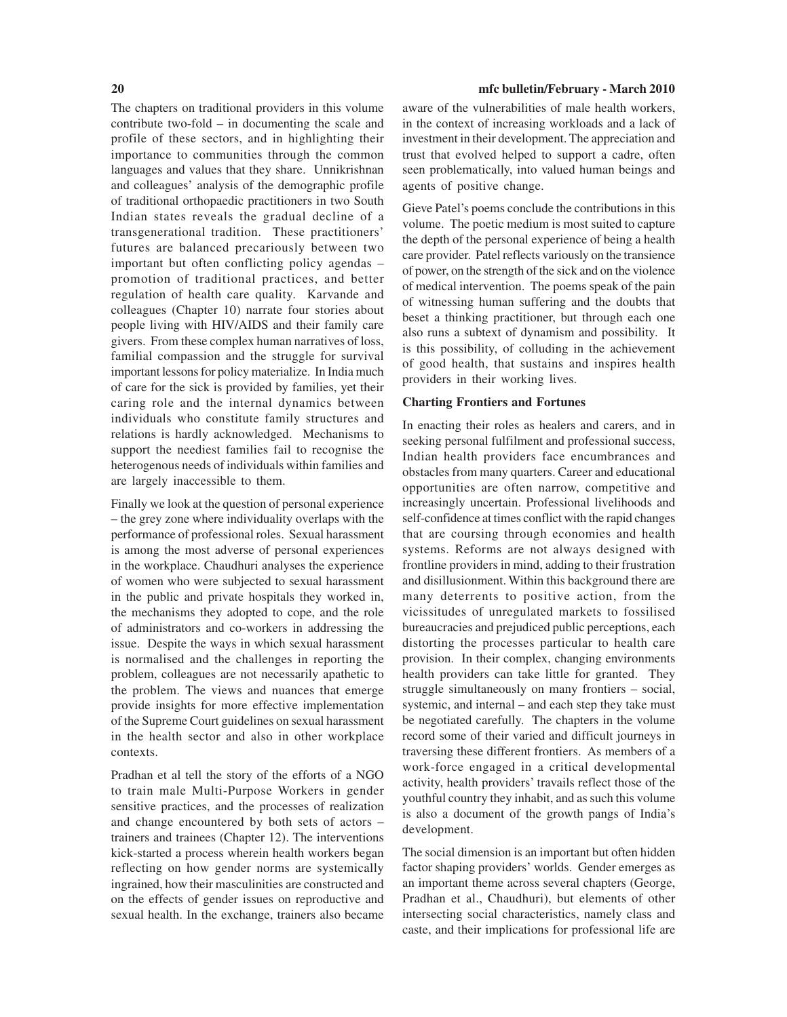The chapters on traditional providers in this volume contribute two-fold – in documenting the scale and profile of these sectors, and in highlighting their importance to communities through the common languages and values that they share. Unnikrishnan and colleagues' analysis of the demographic profile of traditional orthopaedic practitioners in two South Indian states reveals the gradual decline of a transgenerational tradition. These practitioners' futures are balanced precariously between two important but often conflicting policy agendas – promotion of traditional practices, and better regulation of health care quality. Karvande and colleagues (Chapter 10) narrate four stories about people living with HIV/AIDS and their family care givers. From these complex human narratives of loss, familial compassion and the struggle for survival important lessons for policy materialize. In India much of care for the sick is provided by families, yet their caring role and the internal dynamics between individuals who constitute family structures and relations is hardly acknowledged. Mechanisms to support the neediest families fail to recognise the heterogenous needs of individuals within families and are largely inaccessible to them.

Finally we look at the question of personal experience – the grey zone where individuality overlaps with the performance of professional roles. Sexual harassment is among the most adverse of personal experiences in the workplace. Chaudhuri analyses the experience of women who were subjected to sexual harassment in the public and private hospitals they worked in, the mechanisms they adopted to cope, and the role of administrators and co-workers in addressing the issue. Despite the ways in which sexual harassment is normalised and the challenges in reporting the problem, colleagues are not necessarily apathetic to the problem. The views and nuances that emerge provide insights for more effective implementation of the Supreme Court guidelines on sexual harassment in the health sector and also in other workplace contexts.

Pradhan et al tell the story of the efforts of a NGO to train male Multi-Purpose Workers in gender sensitive practices, and the processes of realization and change encountered by both sets of actors – trainers and trainees (Chapter 12). The interventions kick-started a process wherein health workers began reflecting on how gender norms are systemically ingrained, how their masculinities are constructed and on the effects of gender issues on reproductive and sexual health. In the exchange, trainers also became

#### **20 mfc bulletin/February - March 2010**

aware of the vulnerabilities of male health workers, in the context of increasing workloads and a lack of investment in their development. The appreciation and trust that evolved helped to support a cadre, often seen problematically, into valued human beings and agents of positive change.

Gieve Patel's poems conclude the contributions in this volume. The poetic medium is most suited to capture the depth of the personal experience of being a health care provider. Patel reflects variously on the transience of power, on the strength of the sick and on the violence of medical intervention. The poems speak of the pain of witnessing human suffering and the doubts that beset a thinking practitioner, but through each one also runs a subtext of dynamism and possibility*.* It is this possibility, of colluding in the achievement of good health, that sustains and inspires health providers in their working lives.

#### **Charting Frontiers and Fortunes**

In enacting their roles as healers and carers, and in seeking personal fulfilment and professional success, Indian health providers face encumbrances and obstacles from many quarters. Career and educational opportunities are often narrow, competitive and increasingly uncertain. Professional livelihoods and self-confidence at times conflict with the rapid changes that are coursing through economies and health systems. Reforms are not always designed with frontline providers in mind, adding to their frustration and disillusionment. Within this background there are many deterrents to positive action, from the vicissitudes of unregulated markets to fossilised bureaucracies and prejudiced public perceptions, each distorting the processes particular to health care provision. In their complex, changing environments health providers can take little for granted. They struggle simultaneously on many frontiers – social, systemic, and internal – and each step they take must be negotiated carefully. The chapters in the volume record some of their varied and difficult journeys in traversing these different frontiers. As members of a work-force engaged in a critical developmental activity, health providers' travails reflect those of the youthful country they inhabit, and as such this volume is also a document of the growth pangs of India's development.

The social dimension is an important but often hidden factor shaping providers' worlds. Gender emerges as an important theme across several chapters (George, Pradhan et al., Chaudhuri), but elements of other intersecting social characteristics, namely class and caste, and their implications for professional life are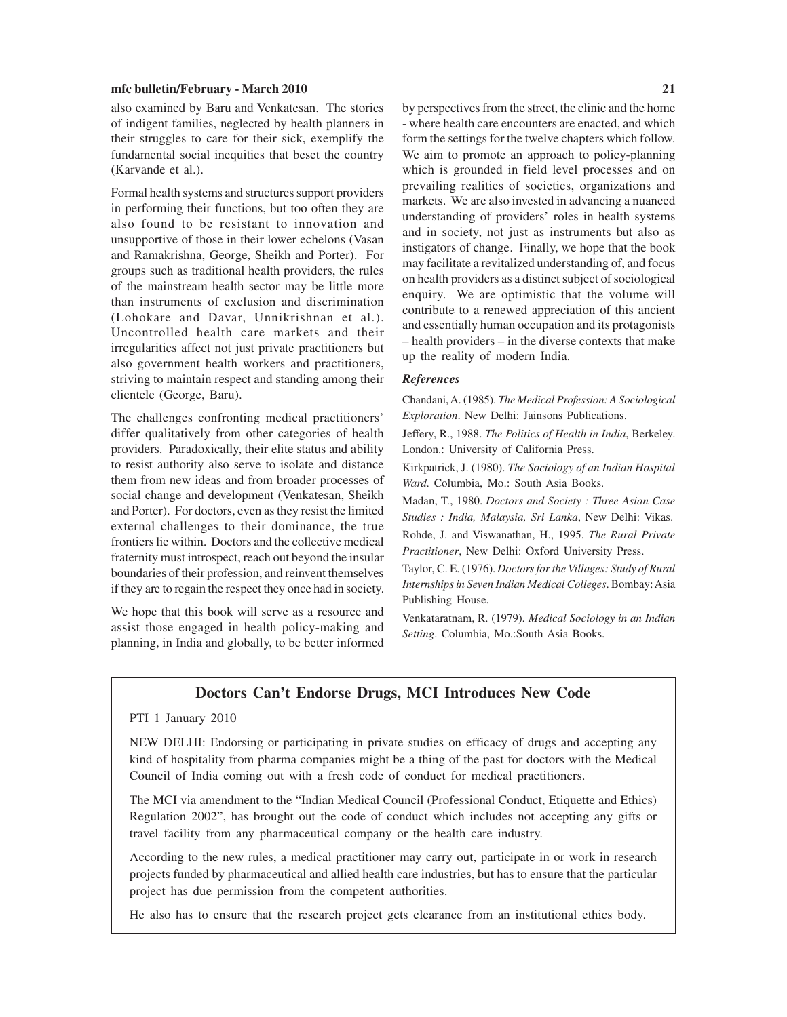also examined by Baru and Venkatesan. The stories of indigent families, neglected by health planners in their struggles to care for their sick, exemplify the fundamental social inequities that beset the country (Karvande et al.).

Formal health systems and structures support providers in performing their functions, but too often they are also found to be resistant to innovation and unsupportive of those in their lower echelons (Vasan and Ramakrishna, George, Sheikh and Porter). For groups such as traditional health providers, the rules of the mainstream health sector may be little more than instruments of exclusion and discrimination (Lohokare and Davar, Unnikrishnan et al.). Uncontrolled health care markets and their irregularities affect not just private practitioners but also government health workers and practitioners, striving to maintain respect and standing among their clientele (George, Baru).

The challenges confronting medical practitioners' differ qualitatively from other categories of health providers. Paradoxically, their elite status and ability to resist authority also serve to isolate and distance them from new ideas and from broader processes of social change and development (Venkatesan, Sheikh and Porter). For doctors, even as they resist the limited external challenges to their dominance, the true frontiers lie within. Doctors and the collective medical fraternity must introspect, reach out beyond the insular boundaries of their profession, and reinvent themselves if they are to regain the respect they once had in society.

We hope that this book will serve as a resource and assist those engaged in health policy-making and planning, in India and globally, to be better informed by perspectives from the street, the clinic and the home - where health care encounters are enacted, and which form the settings for the twelve chapters which follow. We aim to promote an approach to policy-planning which is grounded in field level processes and on prevailing realities of societies, organizations and markets. We are also invested in advancing a nuanced understanding of providers' roles in health systems and in society, not just as instruments but also as instigators of change. Finally, we hope that the book may facilitate a revitalized understanding of, and focus on health providers as a distinct subject of sociological enquiry. We are optimistic that the volume will contribute to a renewed appreciation of this ancient and essentially human occupation and its protagonists – health providers – in the diverse contexts that make up the reality of modern India.

#### *References*

Chandani, A. (1985). *The Medical Profession: A Sociological Exploration*. New Delhi: Jainsons Publications.

Jeffery, R., 1988. *The Politics of Health in India*, Berkeley. London.: University of California Press.

Kirkpatrick, J. (1980). *The Sociology of an Indian Hospital Ward*. Columbia, Mo.: South Asia Books.

Madan, T., 1980. *Doctors and Society : Three Asian Case Studies : India, Malaysia, Sri Lanka*, New Delhi: Vikas.

Rohde, J. and Viswanathan, H., 1995. *The Rural Private Practitioner*, New Delhi: Oxford University Press.

Taylor, C. E. (1976). *Doctors for the Villages: Study of Rural Internships in Seven Indian Medical Colleges*. Bombay: Asia Publishing House.

Venkataratnam, R. (1979). *Medical Sociology in an Indian Setting*. Columbia, Mo.:South Asia Books.

### **Doctors Can't Endorse Drugs, MCI Introduces New Code**

#### PTI 1 January 2010

NEW DELHI: Endorsing or participating in private studies on efficacy of drugs and accepting any kind of hospitality from pharma companies might be a thing of the past for doctors with the Medical Council of India coming out with a fresh code of conduct for medical practitioners.

The MCI via amendment to the "Indian Medical Council (Professional Conduct, Etiquette and Ethics) Regulation 2002", has brought out the code of conduct which includes not accepting any gifts or travel facility from any pharmaceutical company or the health care industry.

According to the new rules, a medical practitioner may carry out, participate in or work in research projects funded by pharmaceutical and allied health care industries, but has to ensure that the particular project has due permission from the competent authorities.

He also has to ensure that the research project gets clearance from an institutional ethics body.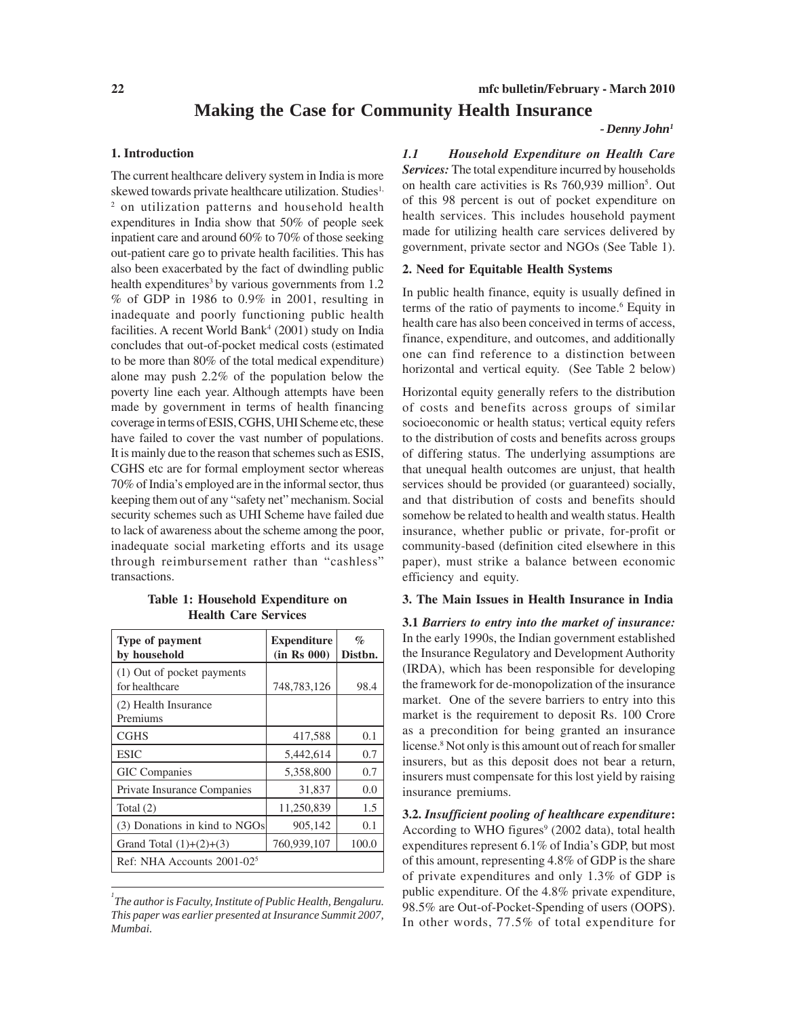# **Making the Case for Community Health Insurance**

#### *- Denny John1*

#### **1. Introduction**

The current healthcare delivery system in India is more skewed towards private healthcare utilization. Studies<sup>1,</sup> <sup>2</sup> on utilization patterns and household health expenditures in India show that 50% of people seek inpatient care and around 60% to 70% of those seeking out-patient care go to private health facilities. This has also been exacerbated by the fact of dwindling public health expenditures<sup>3</sup> by various governments from  $1.2$ % of GDP in 1986 to 0.9% in 2001, resulting in inadequate and poorly functioning public health facilities. A recent World Bank<sup>4</sup> (2001) study on India concludes that out-of-pocket medical costs (estimated to be more than 80% of the total medical expenditure) alone may push 2.2% of the population below the poverty line each year. Although attempts have been made by government in terms of health financing coverage in terms of ESIS, CGHS, UHI Scheme etc, these have failed to cover the vast number of populations. It is mainly due to the reason that schemes such as ESIS, CGHS etc are for formal employment sector whereas 70% of India's employed are in the informal sector, thus keeping them out of any "safety net" mechanism. Social security schemes such as UHI Scheme have failed due to lack of awareness about the scheme among the poor, inadequate social marketing efforts and its usage through reimbursement rather than "cashless" transactions.

**Table 1: Household Expenditure on Health Care Services**

| <b>Type of payment</b><br>by household       | <b>Expenditure</b><br>(in Rs 000) | $\%$<br>Distbn. |
|----------------------------------------------|-----------------------------------|-----------------|
| (1) Out of pocket payments<br>for healthcare | 748,783,126                       | 98.4            |
| (2) Health Insurance<br>Premiums             |                                   |                 |
| <b>CGHS</b>                                  | 417,588                           | 0.1             |
| <b>ESIC</b>                                  | 5,442,614                         | 0.7             |
| <b>GIC</b> Companies                         | 5,358,800                         | 0.7             |
| Private Insurance Companies                  | 31,837                            | 0.0             |
| Total $(2)$                                  | 11,250,839                        | 1.5             |
| (3) Donations in kind to NGOs                | 905,142                           | 0.1             |
| Grand Total $(1)+(2)+(3)$                    | 760,939,107                       | 100.0           |
| Ref: NHA Accounts $2001-025$                 |                                   |                 |

*<sup>1</sup> The author is Faculty, Institute of Public Health, Bengaluru. This paper was earlier presented at Insurance Summit 2007, Mumbai.*

*1.1 Household Expenditure on Health Care Services:* The total expenditure incurred by households on health care activities is Rs 760,939 million<sup>5</sup>. Out of this 98 percent is out of pocket expenditure on health services. This includes household payment made for utilizing health care services delivered by government, private sector and NGOs (See Table 1).

#### **2. Need for Equitable Health Systems**

In public health finance, equity is usually defined in terms of the ratio of payments to income.<sup>6</sup> Equity in health care has also been conceived in terms of access, finance, expenditure, and outcomes, and additionally one can find reference to a distinction between horizontal and vertical equity. (See Table 2 below)

Horizontal equity generally refers to the distribution of costs and benefits across groups of similar socioeconomic or health status; vertical equity refers to the distribution of costs and benefits across groups of differing status. The underlying assumptions are that unequal health outcomes are unjust, that health services should be provided (or guaranteed) socially, and that distribution of costs and benefits should somehow be related to health and wealth status. Health insurance, whether public or private, for-profit or community-based (definition cited elsewhere in this paper), must strike a balance between economic efficiency and equity.

#### **3. The Main Issues in Health Insurance in India**

**3.1** *Barriers to entry into the market of insurance:* In the early 1990s, the Indian government established the Insurance Regulatory and Development Authority (IRDA), which has been responsible for developing the framework for de-monopolization of the insurance market. One of the severe barriers to entry into this market is the requirement to deposit Rs. 100 Crore as a precondition for being granted an insurance license.8 Not only is this amount out of reach for smaller insurers, but as this deposit does not bear a return, insurers must compensate for this lost yield by raising insurance premiums.

**3.2.** *Insufficient pooling of healthcare expenditure***:** According to WHO figures<sup>9</sup> (2002 data), total health expenditures represent 6.1% of India's GDP, but most of this amount, representing 4.8% of GDP is the share of private expenditures and only 1.3% of GDP is public expenditure. Of the 4.8% private expenditure, 98.5% are Out-of-Pocket-Spending of users (OOPS). In other words, 77.5% of total expenditure for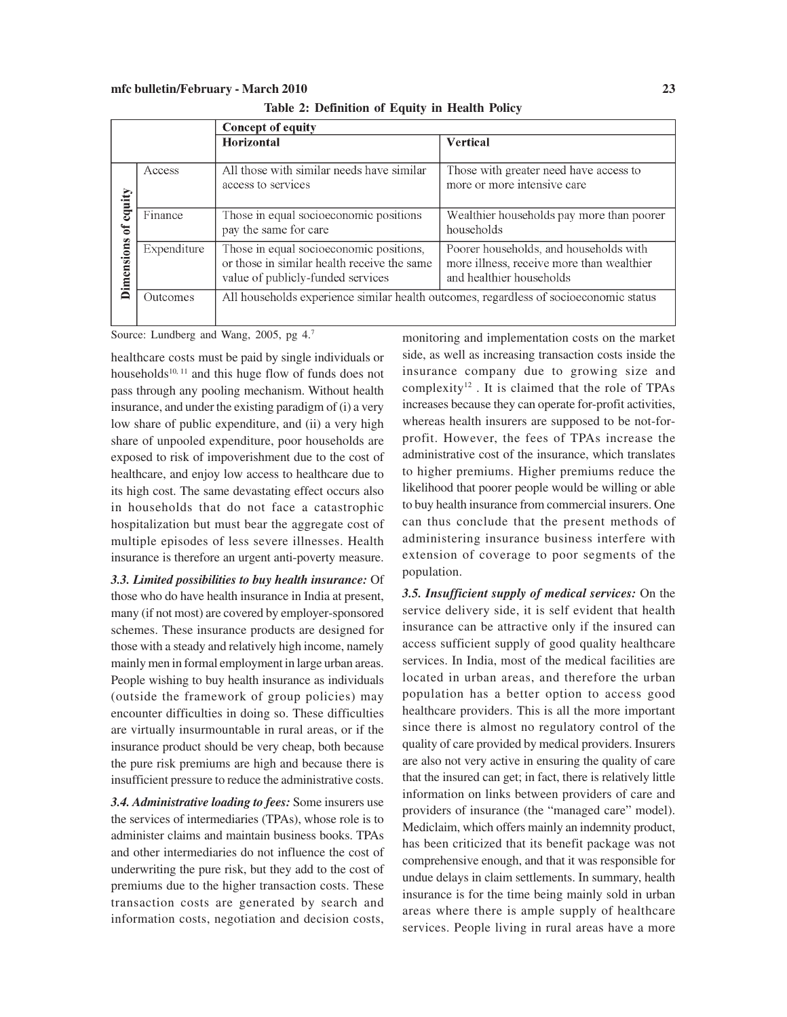|  | Table 2: Definition of Equity in Health Policy |  |  |  |
|--|------------------------------------------------|--|--|--|
|--|------------------------------------------------|--|--|--|

|            |             | <b>Concept of equity</b>                                                                                                    |                                                                                                                 |  |
|------------|-------------|-----------------------------------------------------------------------------------------------------------------------------|-----------------------------------------------------------------------------------------------------------------|--|
|            |             | <b>Horizontal</b>                                                                                                           | <b>Vertical</b>                                                                                                 |  |
| equity     | Access      | All those with similar needs have similar<br>access to services                                                             | Those with greater need have access to<br>more or more intensive care                                           |  |
| ゙゙゙゙゙      | Finance     | Those in equal socioeconomic positions<br>pay the same for care                                                             | Wealthier households pay more than poorer<br>households                                                         |  |
| Dimensions | Expenditure | Those in equal socioeconomic positions,<br>or those in similar health receive the same<br>value of publicly-funded services | Poorer households, and households with<br>more illness, receive more than wealthier<br>and healthier households |  |
|            | Outcomes    | All households experience similar health outcomes, regardless of socioeconomic status                                       |                                                                                                                 |  |

Source: Lundberg and Wang, 2005, pg 4.7

healthcare costs must be paid by single individuals or households<sup>10, 11</sup> and this huge flow of funds does not pass through any pooling mechanism. Without health insurance, and under the existing paradigm of (i) a very low share of public expenditure, and (ii) a very high share of unpooled expenditure, poor households are exposed to risk of impoverishment due to the cost of healthcare, and enjoy low access to healthcare due to its high cost. The same devastating effect occurs also in households that do not face a catastrophic hospitalization but must bear the aggregate cost of multiple episodes of less severe illnesses. Health insurance is therefore an urgent anti-poverty measure.

*3.3. Limited possibilities to buy health insurance:* Of those who do have health insurance in India at present, many (if not most) are covered by employer-sponsored schemes. These insurance products are designed for those with a steady and relatively high income, namely mainly men in formal employment in large urban areas. People wishing to buy health insurance as individuals (outside the framework of group policies) may encounter difficulties in doing so. These difficulties are virtually insurmountable in rural areas, or if the insurance product should be very cheap, both because the pure risk premiums are high and because there is insufficient pressure to reduce the administrative costs.

*3.4. Administrative loading to fees:* Some insurers use the services of intermediaries (TPAs), whose role is to administer claims and maintain business books. TPAs and other intermediaries do not influence the cost of underwriting the pure risk, but they add to the cost of premiums due to the higher transaction costs. These transaction costs are generated by search and information costs, negotiation and decision costs, monitoring and implementation costs on the market side, as well as increasing transaction costs inside the insurance company due to growing size and complexity<sup>12</sup>. It is claimed that the role of TPAs increases because they can operate for-profit activities, whereas health insurers are supposed to be not-forprofit. However, the fees of TPAs increase the administrative cost of the insurance, which translates to higher premiums. Higher premiums reduce the likelihood that poorer people would be willing or able to buy health insurance from commercial insurers. One can thus conclude that the present methods of administering insurance business interfere with extension of coverage to poor segments of the population.

*3.5. Insufficient supply of medical services:* On the service delivery side, it is self evident that health insurance can be attractive only if the insured can access sufficient supply of good quality healthcare services. In India, most of the medical facilities are located in urban areas, and therefore the urban population has a better option to access good healthcare providers. This is all the more important since there is almost no regulatory control of the quality of care provided by medical providers. Insurers are also not very active in ensuring the quality of care that the insured can get; in fact, there is relatively little information on links between providers of care and providers of insurance (the "managed care" model). Mediclaim, which offers mainly an indemnity product, has been criticized that its benefit package was not comprehensive enough, and that it was responsible for undue delays in claim settlements. In summary, health insurance is for the time being mainly sold in urban areas where there is ample supply of healthcare services. People living in rural areas have a more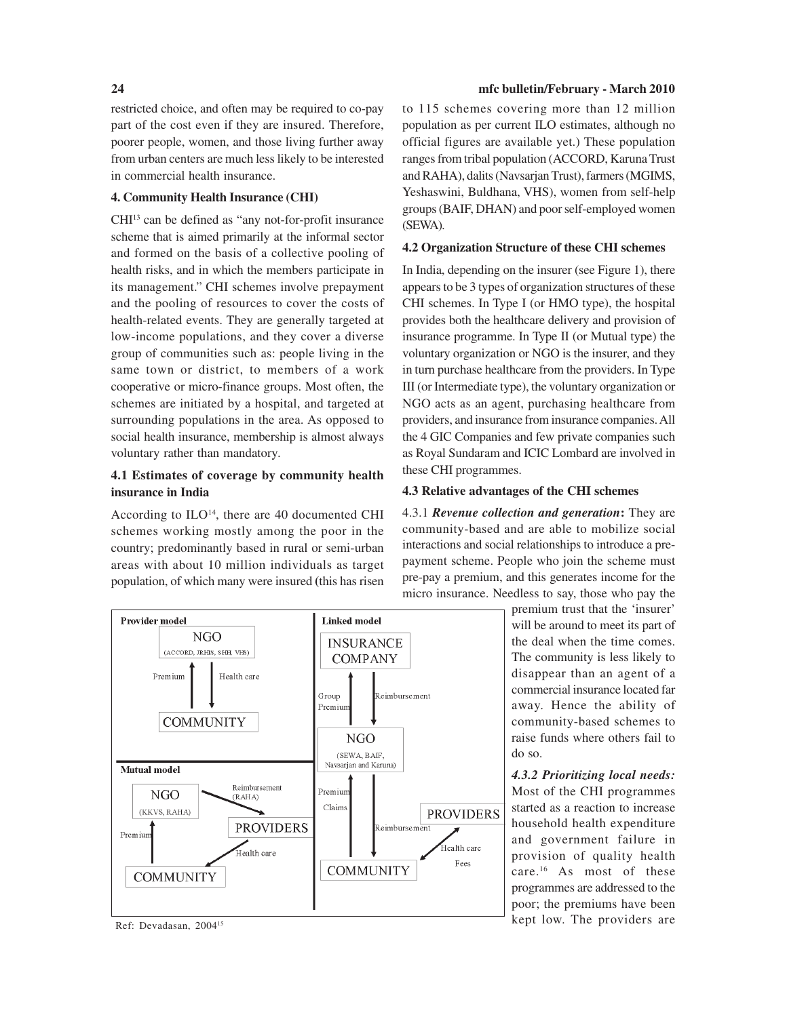restricted choice, and often may be required to co-pay part of the cost even if they are insured. Therefore, poorer people, women, and those living further away from urban centers are much less likely to be interested in commercial health insurance.

#### **4. Community Health Insurance (CHI)**

CHI13 can be defined as "any not-for-profit insurance scheme that is aimed primarily at the informal sector and formed on the basis of a collective pooling of health risks, and in which the members participate in its management." CHI schemes involve prepayment and the pooling of resources to cover the costs of health-related events. They are generally targeted at low-income populations, and they cover a diverse group of communities such as: people living in the same town or district, to members of a work cooperative or micro-finance groups. Most often, the schemes are initiated by a hospital, and targeted at surrounding populations in the area. As opposed to social health insurance, membership is almost always voluntary rather than mandatory.

### **4.1 Estimates of coverage by community health insurance in India**

According to  $ILO<sup>14</sup>$ , there are 40 documented CHI schemes working mostly among the poor in the country; predominantly based in rural or semi-urban areas with about 10 million individuals as target population, of which many were insured **(**this has risen



to 115 schemes covering more than 12 million population as per current ILO estimates, although no official figures are available yet.) These population ranges from tribal population (ACCORD, Karuna Trust and RAHA), dalits (Navsarjan Trust), farmers (MGIMS, Yeshaswini, Buldhana, VHS), women from self-help groups (BAIF, DHAN) and poor self-employed women (SEWA).

#### **4.2 Organization Structure of these CHI schemes**

In India, depending on the insurer (see Figure 1), there appears to be 3 types of organization structures of these CHI schemes. In Type I (or HMO type), the hospital provides both the healthcare delivery and provision of insurance programme. In Type II (or Mutual type) the voluntary organization or NGO is the insurer, and they in turn purchase healthcare from the providers. In Type III (or Intermediate type), the voluntary organization or NGO acts as an agent, purchasing healthcare from providers, and insurance from insurance companies. All the 4 GIC Companies and few private companies such as Royal Sundaram and ICIC Lombard are involved in these CHI programmes.

#### **4.3 Relative advantages of the CHI schemes**

4.3.1 *Revenue collection and generation***:** They are community-based and are able to mobilize social interactions and social relationships to introduce a prepayment scheme. People who join the scheme must pre-pay a premium, and this generates income for the micro insurance. Needless to say, those who pay the

> premium trust that the 'insurer' will be around to meet its part of the deal when the time comes. The community is less likely to disappear than an agent of a commercial insurance located far away. Hence the ability of community-based schemes to raise funds where others fail to do so.

*4.3.2 Prioritizing local needs:* Most of the CHI programmes started as a reaction to increase household health expenditure and government failure in provision of quality health care.16 As most of these programmes are addressed to the poor; the premiums have been Ref: Devadasan, 2004<sup>15</sup> kept low. The providers are



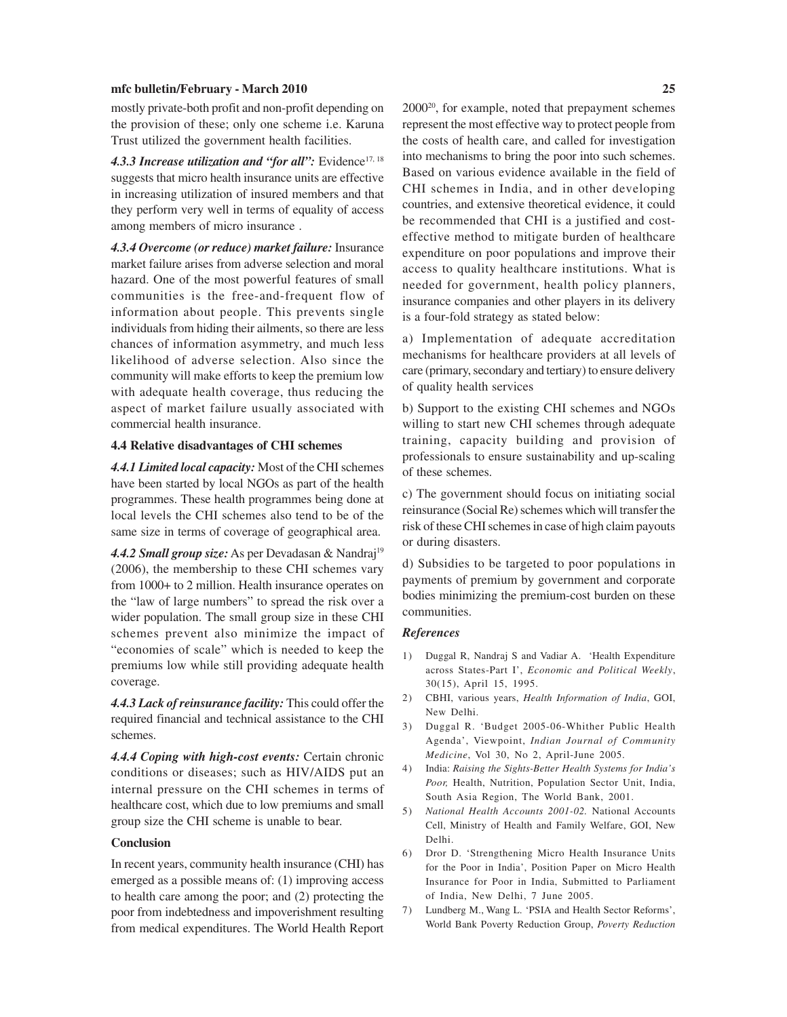mostly private-both profit and non-profit depending on the provision of these; only one scheme i.e. Karuna Trust utilized the government health facilities.

4.3.3 Increase utilization and "for all": Evidence<sup>17, 18</sup> suggests that micro health insurance units are effective in increasing utilization of insured members and that they perform very well in terms of equality of access among members of micro insurance .

*4.3.4 Overcome (or reduce) market failure:* Insurance market failure arises from adverse selection and moral hazard. One of the most powerful features of small communities is the free-and-frequent flow of information about people. This prevents single individuals from hiding their ailments, so there are less chances of information asymmetry, and much less likelihood of adverse selection. Also since the community will make efforts to keep the premium low with adequate health coverage, thus reducing the aspect of market failure usually associated with commercial health insurance.

#### **4.4 Relative disadvantages of CHI schemes**

*4.4.1 Limited local capacity:* Most of the CHI schemes have been started by local NGOs as part of the health programmes. These health programmes being done at local levels the CHI schemes also tend to be of the same size in terms of coverage of geographical area.

4.4.2 Small group size: As per Devadasan & Nandraj<sup>19</sup> (2006), the membership to these CHI schemes vary from 1000+ to 2 million. Health insurance operates on the "law of large numbers" to spread the risk over a wider population. The small group size in these CHI schemes prevent also minimize the impact of "economies of scale" which is needed to keep the premiums low while still providing adequate health coverage.

*4.4.3 Lack of reinsurance facility:* This could offer the required financial and technical assistance to the CHI schemes.

*4.4.4 Coping with high-cost events:* Certain chronic conditions or diseases; such as HIV/AIDS put an internal pressure on the CHI schemes in terms of healthcare cost, which due to low premiums and small group size the CHI scheme is unable to bear.

#### **Conclusion**

In recent years, community health insurance (CHI) has emerged as a possible means of: (1) improving access to health care among the poor; and (2) protecting the poor from indebtedness and impoverishment resulting from medical expenditures. The World Health Report 200020, for example, noted that prepayment schemes represent the most effective way to protect people from the costs of health care, and called for investigation into mechanisms to bring the poor into such schemes. Based on various evidence available in the field of CHI schemes in India, and in other developing countries, and extensive theoretical evidence, it could be recommended that CHI is a justified and costeffective method to mitigate burden of healthcare expenditure on poor populations and improve their access to quality healthcare institutions. What is needed for government, health policy planners, insurance companies and other players in its delivery is a four-fold strategy as stated below:

a) Implementation of adequate accreditation mechanisms for healthcare providers at all levels of care (primary, secondary and tertiary) to ensure delivery of quality health services

b) Support to the existing CHI schemes and NGOs willing to start new CHI schemes through adequate training, capacity building and provision of professionals to ensure sustainability and up-scaling of these schemes.

c) The government should focus on initiating social reinsurance (Social Re) schemes which will transfer the risk of these CHI schemes in case of high claim payouts or during disasters.

d) Subsidies to be targeted to poor populations in payments of premium by government and corporate bodies minimizing the premium-cost burden on these communities.

#### *References*

- 1) Duggal R, Nandraj S and Vadiar A. 'Health Expenditure across States-Part I', *Economic and Political Weekly*, 30(15), April 15, 1995.
- 2) CBHI, various years, *Health Information of India*, GOI, New Delhi.
- 3) Duggal R. 'Budget 2005-06-Whither Public Health Agenda', Viewpoint, *Indian Journal of Community Medicine*, Vol 30, No 2, April-June 2005.
- 4) India: *Raising the Sights-Better Health Systems for India's Poor,* Health, Nutrition, Population Sector Unit, India, South Asia Region, The World Bank, 2001.
- 5) *National Health Accounts 2001-02.* National Accounts Cell, Ministry of Health and Family Welfare, GOI, New Delhi.
- 6) Dror D. 'Strengthening Micro Health Insurance Units for the Poor in India', Position Paper on Micro Health Insurance for Poor in India, Submitted to Parliament of India, New Delhi, 7 June 2005.
- 7) Lundberg M., Wang L. 'PSIA and Health Sector Reforms', World Bank Poverty Reduction Group, *Poverty Reduction*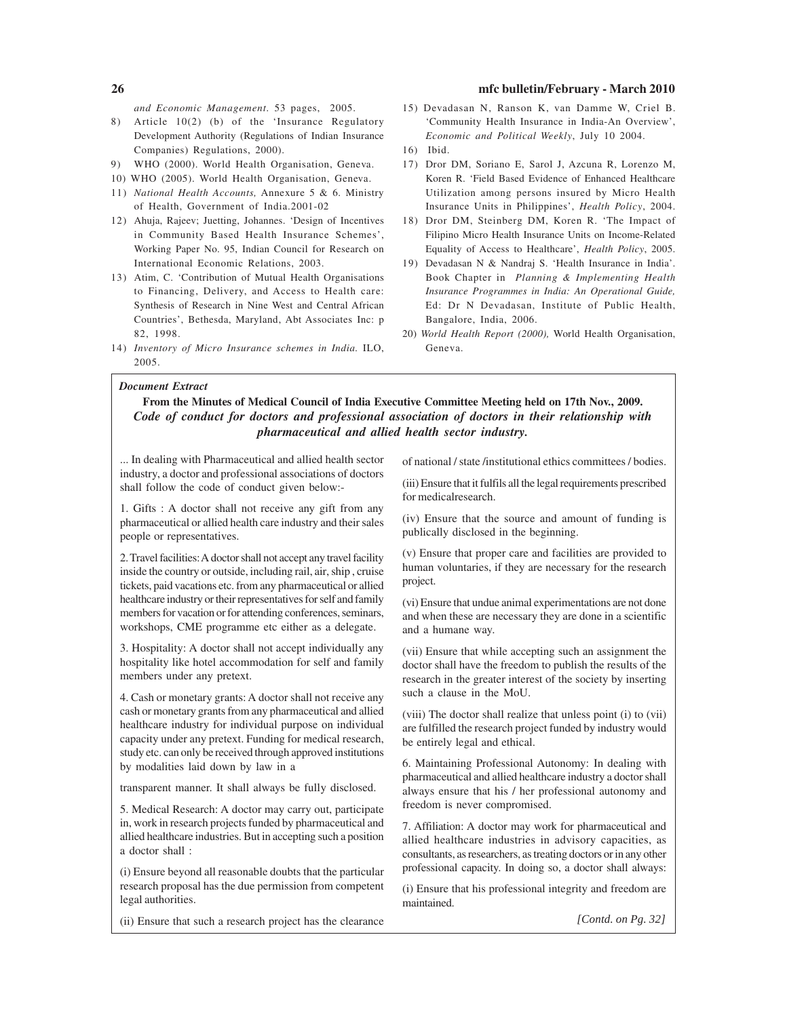*and Economic Management.* 53 pages, 2005.

- 8) Article 10(2) (b) of the 'Insurance Regulatory Development Authority (Regulations of Indian Insurance Companies) Regulations, 2000).
- 9) WHO (2000). World Health Organisation, Geneva.
- 10) WHO (2005). World Health Organisation, Geneva.
- 11) *National Health Accounts,* Annexure 5 & 6. Ministry of Health, Government of India.2001-02
- 12) Ahuja, Rajeev; Juetting, Johannes. 'Design of Incentives in Community Based Health Insurance Schemes', Working Paper No. 95, Indian Council for Research on International Economic Relations, 2003.
- 13) Atim, C. 'Contribution of Mutual Health Organisations to Financing, Delivery, and Access to Health care: Synthesis of Research in Nine West and Central African Countries', Bethesda, Maryland, Abt Associates Inc: p 82, 1998.
- 14) *Inventory of Micro Insurance schemes in India.* ILO, 2005.
- 

# *Document Extract*

#### 15) Devadasan N, Ranson K, van Damme W, Criel B. 'Community Health Insurance in India-An Overview', *Economic and Political Weekly*, July 10 2004.

- 16) Ibid.
- 17) Dror DM, Soriano E, Sarol J, Azcuna R, Lorenzo M, Koren R. 'Field Based Evidence of Enhanced Healthcare Utilization among persons insured by Micro Health Insurance Units in Philippines', *Health Policy*, 2004.
- 18) Dror DM, Steinberg DM, Koren R. 'The Impact of Filipino Micro Health Insurance Units on Income-Related Equality of Access to Healthcare', *Health Policy*, 2005.
- 19) Devadasan N & Nandraj S. 'Health Insurance in India'. Book Chapter in *Planning & Implementing Health Insurance Programmes in India: An Operational Guide,* Ed: Dr N Devadasan, Institute of Public Health, Bangalore, India, 2006.
- 20) *World Health Report (2000),* World Health Organisation, Geneva.

**From the Minutes of Medical Council of India Executive Committee Meeting held on 17th Nov., 2009.** *Code of conduct for doctors and professional association of doctors in their relationship with pharmaceutical and allied health sector industry.*

... In dealing with Pharmaceutical and allied health sector industry, a doctor and professional associations of doctors shall follow the code of conduct given below:-

1. Gifts : A doctor shall not receive any gift from any pharmaceutical or allied health care industry and their sales people or representatives.

2. Travel facilities: A doctor shall not accept any travel facility inside the country or outside, including rail, air, ship , cruise tickets, paid vacations etc. from any pharmaceutical or allied healthcare industry or their representatives for self and family members for vacation or for attending conferences, seminars, workshops, CME programme etc either as a delegate.

3. Hospitality: A doctor shall not accept individually any hospitality like hotel accommodation for self and family members under any pretext.

4. Cash or monetary grants: A doctor shall not receive any cash or monetary grants from any pharmaceutical and allied healthcare industry for individual purpose on individual capacity under any pretext. Funding for medical research, study etc. can only be received through approved institutions by modalities laid down by law in a

transparent manner. It shall always be fully disclosed.

5. Medical Research: A doctor may carry out, participate in, work in research projects funded by pharmaceutical and allied healthcare industries. But in accepting such a position a doctor shall :

(i) Ensure beyond all reasonable doubts that the particular research proposal has the due permission from competent legal authorities.

(ii) Ensure that such a research project has the clearance

of national / state /institutional ethics committees / bodies.

(iii) Ensure that it fulfils all the legal requirements prescribed for medicalresearch.

(iv) Ensure that the source and amount of funding is publically disclosed in the beginning.

(v) Ensure that proper care and facilities are provided to human voluntaries, if they are necessary for the research project.

(vi) Ensure that undue animal experimentations are not done and when these are necessary they are done in a scientific and a humane way.

(vii) Ensure that while accepting such an assignment the doctor shall have the freedom to publish the results of the research in the greater interest of the society by inserting such a clause in the MoU.

(viii) The doctor shall realize that unless point (i) to (vii) are fulfilled the research project funded by industry would be entirely legal and ethical.

6. Maintaining Professional Autonomy: In dealing with pharmaceutical and allied healthcare industry a doctor shall always ensure that his / her professional autonomy and freedom is never compromised.

7. Affiliation: A doctor may work for pharmaceutical and allied healthcare industries in advisory capacities, as consultants, as researchers, as treating doctors or in any other professional capacity. In doing so, a doctor shall always:

(i) Ensure that his professional integrity and freedom are maintained.

*[Contd. on Pg. 32]*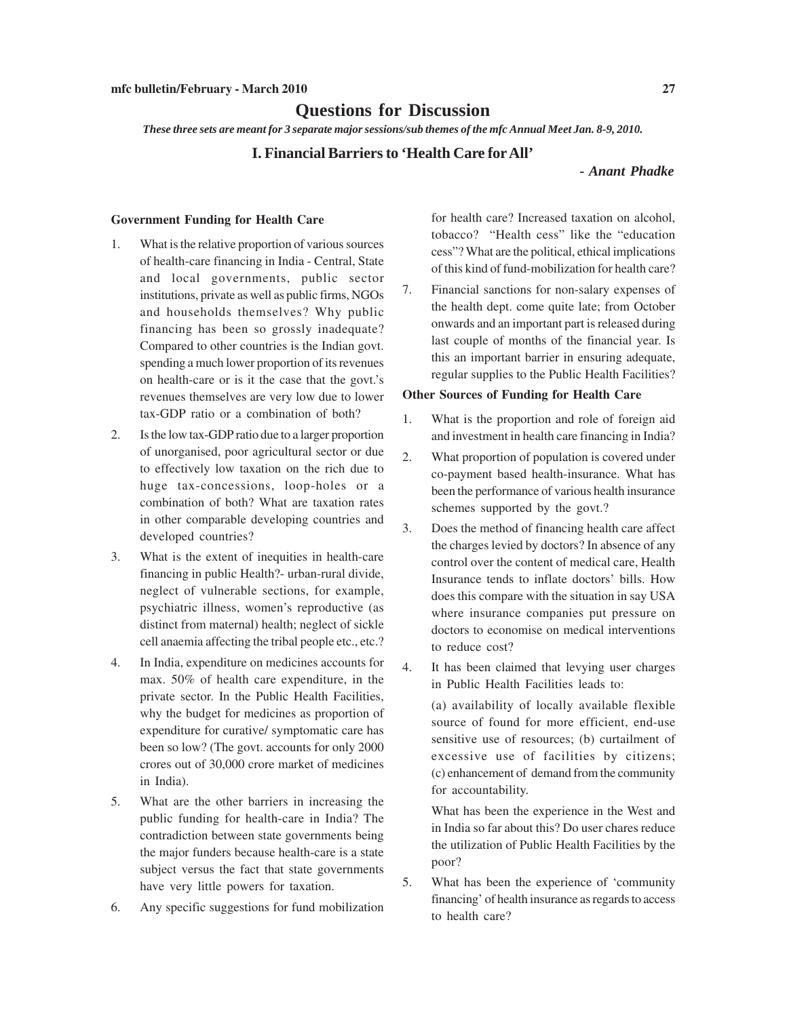# **Questions for Discussion**

*These three sets are meant for 3 separate major sessions/sub themes of the mfc Annual Meet Jan. 8-9, 2010.*

#### **I. Financial Barriers to 'Health Care for All'**

### *- Anant Phadke*

#### **Government Funding for Health Care**

- 1. What is the relative proportion of various sources of health-care financing in India - Central, State and local governments, public sector institutions, private as well as public firms, NGOs and households themselves? Why public financing has been so grossly inadequate? Compared to other countries is the Indian govt. spending a much lower proportion of its revenues on health-care or is it the case that the govt.'s revenues themselves are very low due to lower tax-GDP ratio or a combination of both?
- 2. Is the low tax-GDP ratio due to a larger proportion of unorganised, poor agricultural sector or due to effectively low taxation on the rich due to huge tax-concessions, loop-holes or a combination of both? What are taxation rates in other comparable developing countries and developed countries?
- 3. What is the extent of inequities in health-care financing in public Health?- urban-rural divide, neglect of vulnerable sections, for example, psychiatric illness, women's reproductive (as distinct from maternal) health; neglect of sickle cell anaemia affecting the tribal people etc., etc.?
- 4. In India, expenditure on medicines accounts for max. 50% of health care expenditure, in the private sector. In the Public Health Facilities, why the budget for medicines as proportion of expenditure for curative/ symptomatic care has been so low? (The govt. accounts for only 2000 crores out of 30,000 crore market of medicines in India).
- 5. What are the other barriers in increasing the public funding for health-care in India? The contradiction between state governments being the major funders because health-care is a state subject versus the fact that state governments have very little powers for taxation.
- 6. Any specific suggestions for fund mobilization

for health care? Increased taxation on alcohol, tobacco? "Health cess" like the "education cess"? What are the political, ethical implications of this kind of fund-mobilization for health care?

7. Financial sanctions for non-salary expenses of the health dept. come quite late; from October onwards and an important part is released during last couple of months of the financial year. Is this an important barrier in ensuring adequate, regular supplies to the Public Health Facilities?

#### **Other Sources of Funding for Health Care**

- 1. What is the proportion and role of foreign aid and investment in health care financing in India?
- 2. What proportion of population is covered under co-payment based health-insurance. What has been the performance of various health insurance schemes supported by the govt.?
- 3. Does the method of financing health care affect the charges levied by doctors? In absence of any control over the content of medical care, Health Insurance tends to inflate doctors' bills. How does this compare with the situation in say USA where insurance companies put pressure on doctors to economise on medical interventions to reduce cost?
- 4. It has been claimed that levying user charges in Public Health Facilities leads to:

(a) availability of locally available flexible source of found for more efficient, end-use sensitive use of resources; (b) curtailment of excessive use of facilities by citizens; (c) enhancement of demand from the community for accountability.

What has been the experience in the West and in India so far about this? Do user chares reduce the utilization of Public Health Facilities by the poor?

5. What has been the experience of 'community financing' of health insurance as regards to access to health care?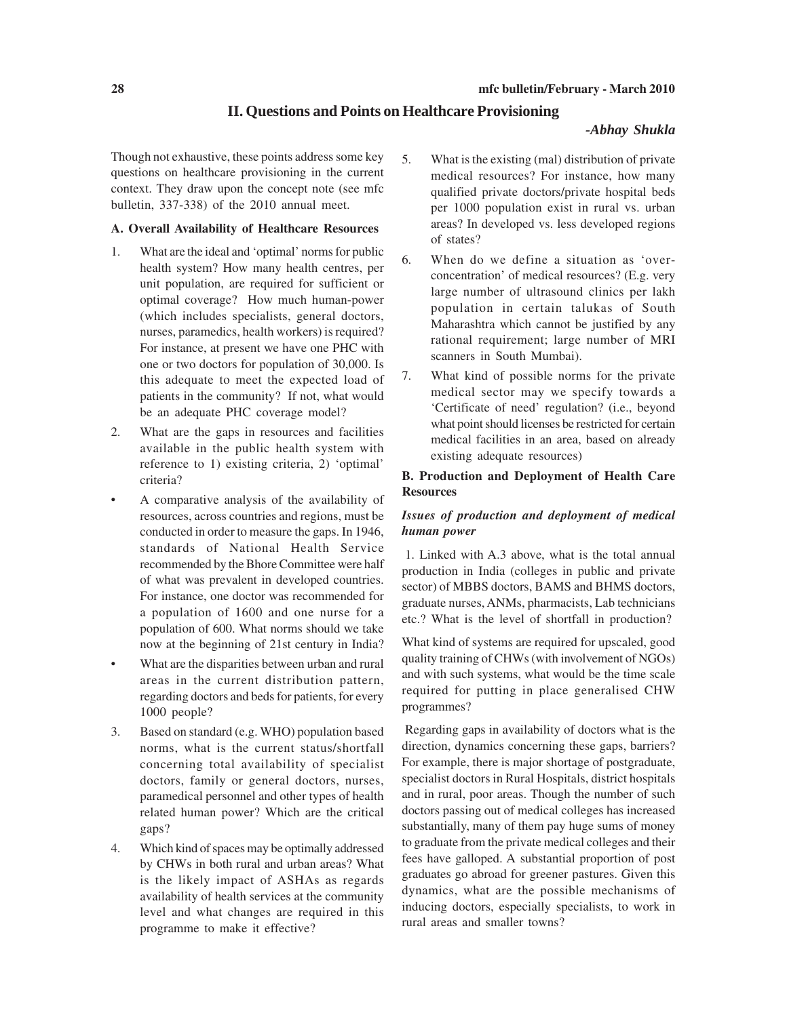#### **II. Questions and Points on Healthcare Provisioning**

#### *-Abhay Shukla*

Though not exhaustive, these points address some key questions on healthcare provisioning in the current context. They draw upon the concept note (see mfc bulletin, 337-338) of the 2010 annual meet.

#### **A. Overall Availability of Healthcare Resources**

- 1. What are the ideal and 'optimal' norms for public health system? How many health centres, per unit population, are required for sufficient or optimal coverage? How much human-power (which includes specialists, general doctors, nurses, paramedics, health workers) is required? For instance, at present we have one PHC with one or two doctors for population of 30,000. Is this adequate to meet the expected load of patients in the community? If not, what would be an adequate PHC coverage model?
- 2. What are the gaps in resources and facilities available in the public health system with reference to 1) existing criteria, 2) 'optimal' criteria?
- A comparative analysis of the availability of resources, across countries and regions, must be conducted in order to measure the gaps. In 1946, standards of National Health Service recommended by the Bhore Committee were half of what was prevalent in developed countries. For instance, one doctor was recommended for a population of 1600 and one nurse for a population of 600. What norms should we take now at the beginning of 21st century in India?
- What are the disparities between urban and rural areas in the current distribution pattern, regarding doctors and beds for patients, for every 1000 people?
- 3. Based on standard (e.g. WHO) population based norms, what is the current status/shortfall concerning total availability of specialist doctors, family or general doctors, nurses, paramedical personnel and other types of health related human power? Which are the critical gaps?
- 4. Which kind of spaces may be optimally addressed by CHWs in both rural and urban areas? What is the likely impact of ASHAs as regards availability of health services at the community level and what changes are required in this programme to make it effective?
- 5. What is the existing (mal) distribution of private medical resources? For instance, how many qualified private doctors/private hospital beds per 1000 population exist in rural vs. urban areas? In developed vs. less developed regions of states?
- 6. When do we define a situation as 'overconcentration' of medical resources? (E.g. very large number of ultrasound clinics per lakh population in certain talukas of South Maharashtra which cannot be justified by any rational requirement; large number of MRI scanners in South Mumbai).
- 7. What kind of possible norms for the private medical sector may we specify towards a 'Certificate of need' regulation? (i.e., beyond what point should licenses be restricted for certain medical facilities in an area, based on already existing adequate resources)

#### **B. Production and Deployment of Health Care Resources**

### *Issues of production and deployment of medical human power*

 1. Linked with A.3 above, what is the total annual production in India (colleges in public and private sector) of MBBS doctors, BAMS and BHMS doctors, graduate nurses, ANMs, pharmacists, Lab technicians etc.? What is the level of shortfall in production?

What kind of systems are required for upscaled, good quality training of CHWs (with involvement of NGOs) and with such systems, what would be the time scale required for putting in place generalised CHW programmes?

 Regarding gaps in availability of doctors what is the direction, dynamics concerning these gaps, barriers? For example, there is major shortage of postgraduate, specialist doctors in Rural Hospitals, district hospitals and in rural, poor areas. Though the number of such doctors passing out of medical colleges has increased substantially, many of them pay huge sums of money to graduate from the private medical colleges and their fees have galloped. A substantial proportion of post graduates go abroad for greener pastures. Given this dynamics, what are the possible mechanisms of inducing doctors, especially specialists, to work in rural areas and smaller towns?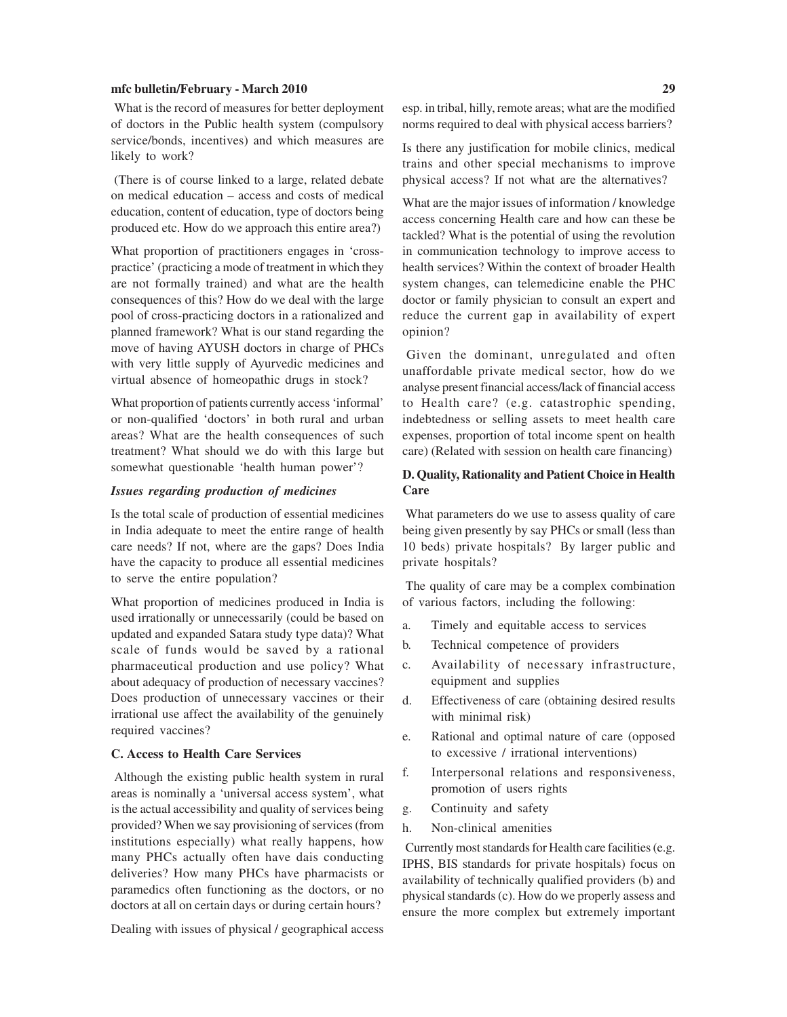What is the record of measures for better deployment of doctors in the Public health system (compulsory service/bonds, incentives) and which measures are likely to work?

 (There is of course linked to a large, related debate on medical education – access and costs of medical education, content of education, type of doctors being produced etc. How do we approach this entire area?)

What proportion of practitioners engages in 'crosspractice' (practicing a mode of treatment in which they are not formally trained) and what are the health consequences of this? How do we deal with the large pool of cross-practicing doctors in a rationalized and planned framework? What is our stand regarding the move of having AYUSH doctors in charge of PHCs with very little supply of Ayurvedic medicines and virtual absence of homeopathic drugs in stock?

What proportion of patients currently access 'informal' or non-qualified 'doctors' in both rural and urban areas? What are the health consequences of such treatment? What should we do with this large but somewhat questionable 'health human power'?

#### *Issues regarding production of medicines*

Is the total scale of production of essential medicines in India adequate to meet the entire range of health care needs? If not, where are the gaps? Does India have the capacity to produce all essential medicines to serve the entire population?

What proportion of medicines produced in India is used irrationally or unnecessarily (could be based on updated and expanded Satara study type data)? What scale of funds would be saved by a rational pharmaceutical production and use policy? What about adequacy of production of necessary vaccines? Does production of unnecessary vaccines or their irrational use affect the availability of the genuinely required vaccines?

#### **C. Access to Health Care Services**

 Although the existing public health system in rural areas is nominally a 'universal access system', what is the actual accessibility and quality of services being provided? When we say provisioning of services (from institutions especially) what really happens, how many PHCs actually often have dais conducting deliveries? How many PHCs have pharmacists or paramedics often functioning as the doctors, or no doctors at all on certain days or during certain hours?

Dealing with issues of physical / geographical access

esp. in tribal, hilly, remote areas; what are the modified norms required to deal with physical access barriers?

Is there any justification for mobile clinics, medical trains and other special mechanisms to improve physical access? If not what are the alternatives?

What are the major issues of information / knowledge access concerning Health care and how can these be tackled? What is the potential of using the revolution in communication technology to improve access to health services? Within the context of broader Health system changes, can telemedicine enable the PHC doctor or family physician to consult an expert and reduce the current gap in availability of expert opinion?

 Given the dominant, unregulated and often unaffordable private medical sector, how do we analyse present financial access/lack of financial access to Health care? (e.g. catastrophic spending, indebtedness or selling assets to meet health care expenses, proportion of total income spent on health care) (Related with session on health care financing)

#### **D. Quality, Rationality and Patient Choice in Health Care**

 What parameters do we use to assess quality of care being given presently by say PHCs or small (less than 10 beds) private hospitals? By larger public and private hospitals?

 The quality of care may be a complex combination of various factors, including the following:

- a. Timely and equitable access to services
- b. Technical competence of providers
- c. Availability of necessary infrastructure, equipment and supplies
- d. Effectiveness of care (obtaining desired results with minimal risk)
- e. Rational and optimal nature of care (opposed to excessive / irrational interventions)
- f. Interpersonal relations and responsiveness, promotion of users rights
- g. Continuity and safety
- h. Non-clinical amenities

 Currently most standards for Health care facilities (e.g. IPHS, BIS standards for private hospitals) focus on availability of technically qualified providers (b) and physical standards (c). How do we properly assess and ensure the more complex but extremely important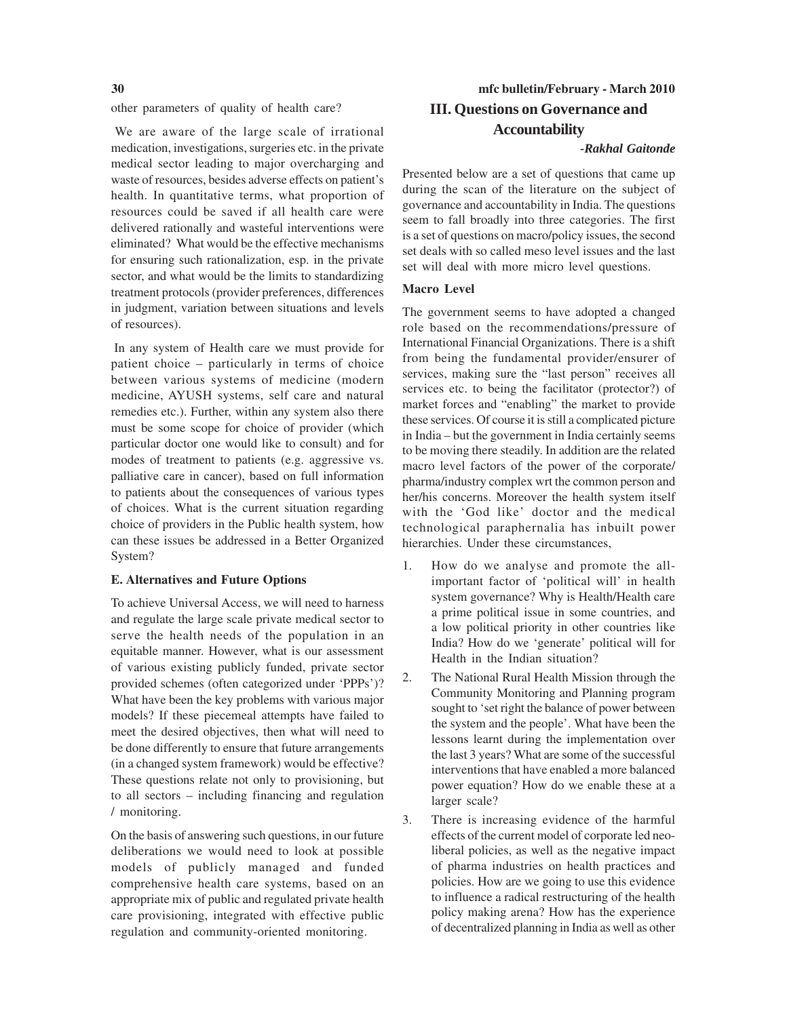other parameters of quality of health care?

 We are aware of the large scale of irrational medication, investigations, surgeries etc. in the private medical sector leading to major overcharging and waste of resources, besides adverse effects on patient's health. In quantitative terms, what proportion of resources could be saved if all health care were delivered rationally and wasteful interventions were eliminated? What would be the effective mechanisms for ensuring such rationalization, esp. in the private sector, and what would be the limits to standardizing treatment protocols (provider preferences, differences in judgment, variation between situations and levels of resources).

 In any system of Health care we must provide for patient choice – particularly in terms of choice between various systems of medicine (modern medicine, AYUSH systems, self care and natural remedies etc.). Further, within any system also there must be some scope for choice of provider (which particular doctor one would like to consult) and for modes of treatment to patients (e.g. aggressive vs. palliative care in cancer), based on full information to patients about the consequences of various types of choices. What is the current situation regarding choice of providers in the Public health system, how can these issues be addressed in a Better Organized System?

#### **E. Alternatives and Future Options**

To achieve Universal Access, we will need to harness and regulate the large scale private medical sector to serve the health needs of the population in an equitable manner. However, what is our assessment of various existing publicly funded, private sector provided schemes (often categorized under 'PPPs')? What have been the key problems with various major models? If these piecemeal attempts have failed to meet the desired objectives, then what will need to be done differently to ensure that future arrangements (in a changed system framework) would be effective? These questions relate not only to provisioning, but to all sectors – including financing and regulation / monitoring.

On the basis of answering such questions, in our future deliberations we would need to look at possible models of publicly managed and funded comprehensive health care systems, based on an appropriate mix of public and regulated private health care provisioning, integrated with effective public regulation and community-oriented monitoring.

# **30 mfc bulletin/February - March 2010 III. Questions on Governance and Accountability**

#### *-Rakhal Gaitonde*

Presented below are a set of questions that came up during the scan of the literature on the subject of governance and accountability in India. The questions seem to fall broadly into three categories. The first is a set of questions on macro/policy issues, the second set deals with so called meso level issues and the last set will deal with more micro level questions.

#### **Macro Level**

The government seems to have adopted a changed role based on the recommendations/pressure of International Financial Organizations. There is a shift from being the fundamental provider/ensurer of services, making sure the "last person" receives all services etc. to being the facilitator (protector?) of market forces and "enabling" the market to provide these services. Of course it is still a complicated picture in India – but the government in India certainly seems to be moving there steadily. In addition are the related macro level factors of the power of the corporate/ pharma/industry complex wrt the common person and her/his concerns. Moreover the health system itself with the 'God like' doctor and the medical technological paraphernalia has inbuilt power hierarchies. Under these circumstances,

- 1. How do we analyse and promote the allimportant factor of 'political will' in health system governance? Why is Health/Health care a prime political issue in some countries, and a low political priority in other countries like India? How do we 'generate' political will for Health in the Indian situation?
- 2. The National Rural Health Mission through the Community Monitoring and Planning program sought to 'set right the balance of power between the system and the people'. What have been the lessons learnt during the implementation over the last 3 years? What are some of the successful interventions that have enabled a more balanced power equation? How do we enable these at a larger scale?
- 3. There is increasing evidence of the harmful effects of the current model of corporate led neoliberal policies, as well as the negative impact of pharma industries on health practices and policies. How are we going to use this evidence to influence a radical restructuring of the health policy making arena? How has the experience of decentralized planning in India as well as other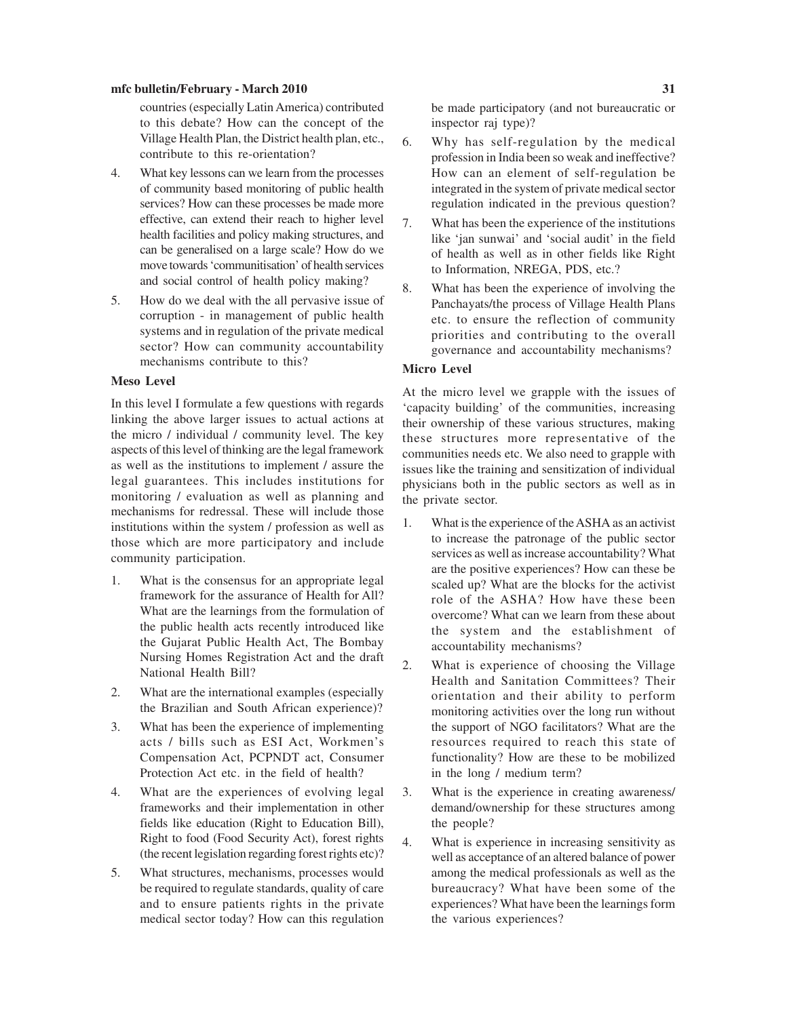countries (especially Latin America) contributed to this debate? How can the concept of the Village Health Plan, the District health plan, etc., contribute to this re-orientation?

- 4. What key lessons can we learn from the processes of community based monitoring of public health services? How can these processes be made more effective, can extend their reach to higher level health facilities and policy making structures, and can be generalised on a large scale? How do we move towards 'communitisation' of health services and social control of health policy making?
- 5. How do we deal with the all pervasive issue of corruption - in management of public health systems and in regulation of the private medical sector? How can community accountability mechanisms contribute to this?

#### **Meso Level**

In this level I formulate a few questions with regards linking the above larger issues to actual actions at the micro / individual / community level. The key aspects of this level of thinking are the legal framework as well as the institutions to implement / assure the legal guarantees. This includes institutions for monitoring / evaluation as well as planning and mechanisms for redressal. These will include those institutions within the system / profession as well as those which are more participatory and include community participation.

- 1. What is the consensus for an appropriate legal framework for the assurance of Health for All? What are the learnings from the formulation of the public health acts recently introduced like the Gujarat Public Health Act, The Bombay Nursing Homes Registration Act and the draft National Health Bill?
- 2. What are the international examples (especially the Brazilian and South African experience)?
- 3. What has been the experience of implementing acts / bills such as ESI Act, Workmen's Compensation Act, PCPNDT act, Consumer Protection Act etc. in the field of health?
- 4. What are the experiences of evolving legal frameworks and their implementation in other fields like education (Right to Education Bill), Right to food (Food Security Act), forest rights (the recent legislation regarding forest rights etc)?
- 5. What structures, mechanisms, processes would be required to regulate standards, quality of care and to ensure patients rights in the private medical sector today? How can this regulation

be made participatory (and not bureaucratic or inspector raj type)?

- 6. Why has self-regulation by the medical profession in India been so weak and ineffective? How can an element of self-regulation be integrated in the system of private medical sector regulation indicated in the previous question?
- 7. What has been the experience of the institutions like 'jan sunwai' and 'social audit' in the field of health as well as in other fields like Right to Information, NREGA, PDS, etc.?
- 8. What has been the experience of involving the Panchayats/the process of Village Health Plans etc. to ensure the reflection of community priorities and contributing to the overall governance and accountability mechanisms?

#### **Micro Level**

At the micro level we grapple with the issues of 'capacity building' of the communities, increasing their ownership of these various structures, making these structures more representative of the communities needs etc. We also need to grapple with issues like the training and sensitization of individual physicians both in the public sectors as well as in the private sector.

- 1. What is the experience of the ASHA as an activist to increase the patronage of the public sector services as well as increase accountability? What are the positive experiences? How can these be scaled up? What are the blocks for the activist role of the ASHA? How have these been overcome? What can we learn from these about the system and the establishment of accountability mechanisms?
- 2. What is experience of choosing the Village Health and Sanitation Committees? Their orientation and their ability to perform monitoring activities over the long run without the support of NGO facilitators? What are the resources required to reach this state of functionality? How are these to be mobilized in the long / medium term?
- 3. What is the experience in creating awareness/ demand/ownership for these structures among the people?
- 4. What is experience in increasing sensitivity as well as acceptance of an altered balance of power among the medical professionals as well as the bureaucracy? What have been some of the experiences? What have been the learnings form the various experiences?